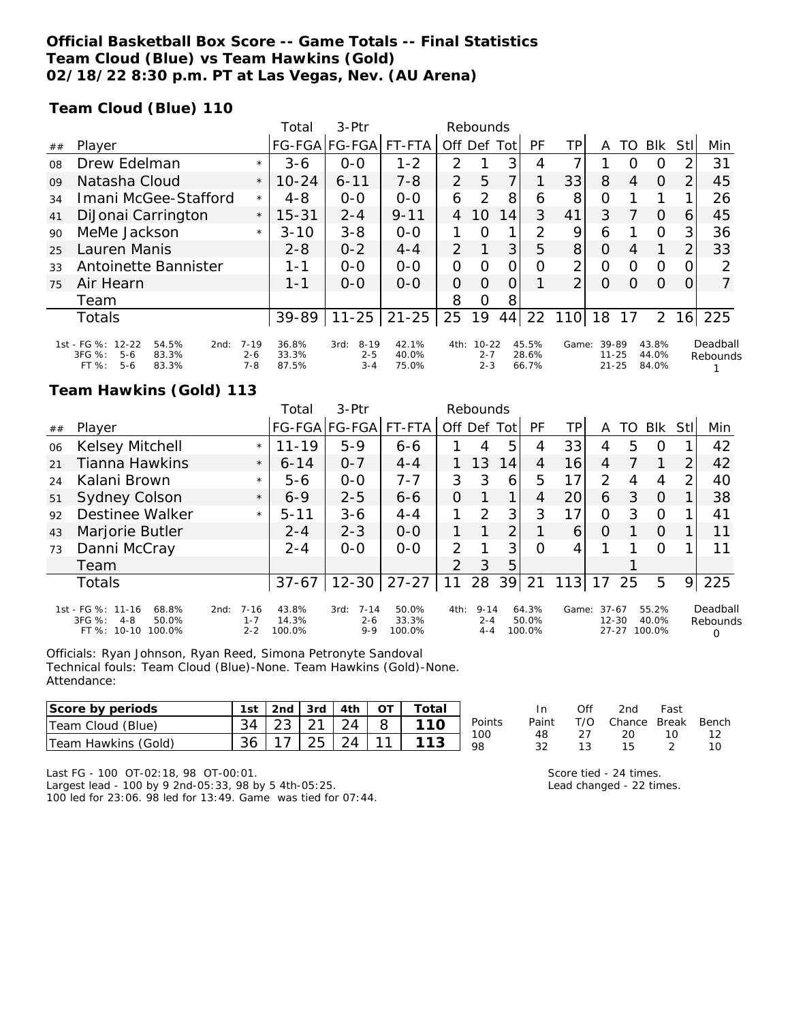## **Official Basketball Box Score -- Game Totals -- Final Statistics Team Cloud (Blue) vs Team Hawkins (Gold) 02/18/22 8:30 p.m. PT at Las Vegas, Nev. (AU Arena)**

### **Team Cloud (Blue) 110**

|    |                                                                           |                     | Total          | 3-Ptr                       |                |                | Rebounds             |                |                |                |                    |          |                |                |                      |
|----|---------------------------------------------------------------------------|---------------------|----------------|-----------------------------|----------------|----------------|----------------------|----------------|----------------|----------------|--------------------|----------|----------------|----------------|----------------------|
| ## | Player                                                                    |                     | FG-FGA         | FG-FGA                      | FT-FTA         | Off Def        |                      | Tot            | <b>PF</b>      | ΤP             | Α                  | TO       | <b>BIK</b>     | Stll           | Min                  |
| 08 | Drew Edelman                                                              | $\star$             | $3 - 6$        | $0 - 0$                     | $1 - 2$        | $\mathcal{P}$  |                      | 3              | 4              | 7              |                    | O        | O              | 2              | 31                   |
| 09 | Natasha Cloud                                                             | $\star$             | $10 - 24$      | $6 - 11$                    | $7 - 8$        | $\overline{2}$ | 5                    |                |                | 33             | 8                  | 4        | $\Omega$       | 2              | 45                   |
| 34 | Imani McGee-Stafford                                                      | $\star$             | $4 - 8$        | $0 - 0$                     | $O - O$        | 6              | 2                    | 8              | 6              | 8              | O                  |          |                |                | 26                   |
| 41 | DiJonai Carrington                                                        | $\star$             | $15 - 31$      | $2 - 4$                     | $9 - 11$       | 4              | 10                   | 14             | 3              | 41             | 3                  |          | $\Omega$       | 6              | 45                   |
| 90 | MeMe Jackson                                                              | $\star$             | $3 - 10$       | $3 - 8$                     | $O - O$        | 1              | $\Omega$             | 1              | 2              | 9              | 6                  |          | O              | 3              | 36                   |
| 25 | Lauren Manis                                                              |                     | $2 - 8$        | $0 - 2$                     | $4 - 4$        | 2              |                      | 3              | 5              | 8              | $\Omega$           | 4        |                | $\overline{2}$ | 33                   |
| 33 | Antoinette Bannister                                                      |                     | $1 - 1$        | $0 - 0$                     | $0 - 0$        | 0              | $\Omega$             | O              | Ω              | 2              | O                  | O        | O              | 0              | 2                    |
| 75 | Air Hearn                                                                 |                     | $1 - 1$        | $0 - 0$                     | $O-O$          | 0              | $\Omega$             | $\overline{O}$ |                | $\overline{2}$ | $\Omega$           | $\Omega$ | $\Omega$       | $\Omega$       |                      |
|    | Team                                                                      |                     |                |                             |                | 8              | O                    | 8              |                |                |                    |          |                |                |                      |
|    | <b>Totals</b>                                                             |                     | 39-89          | $11 - 25$                   | $21 - 25$      | 25             | 19                   | 44             | 22             | 110            | 18                 | 17       | 2              |                | 16 225               |
|    | 1st - FG %:<br>$12 - 22$<br>54.5%<br>2nd:<br>$3FG \%$ :<br>$5-6$<br>83.3% | $7 - 19$<br>$2 - 6$ | 36.8%<br>33.3% | $8 - 19$<br>3rd:<br>$2 - 5$ | 42.1%<br>40.0% | 4th:           | $10 - 22$<br>$2 - 7$ |                | 45.5%<br>28.6% | Game:          | 39-89<br>$11 - 25$ |          | 43.8%<br>44.0% |                | Deadball<br>Rebounds |
|    | FT%<br>83.3%<br>$5 - 6$                                                   | $7 - 8$             | 87.5%          | $3 - 4$                     | 75.0%          |                | $2 - 3$              |                | 66.7%          |                | $21 - 25$          |          | 84.0%          |                |                      |

### **Team Hawkins (Gold) 113**

|    |                                                                                      |                                        | Total                    | $3-Ptr$                                |                          |               | Rebounds                       |    |                          |       |                                   |    |                          |               |                                  |
|----|--------------------------------------------------------------------------------------|----------------------------------------|--------------------------|----------------------------------------|--------------------------|---------------|--------------------------------|----|--------------------------|-------|-----------------------------------|----|--------------------------|---------------|----------------------------------|
| ## | Player                                                                               |                                        |                          | FG-FGA FG-FGA FT-FTA                   |                          |               | Off Def Tot                    |    | PF                       | ТP    | A                                 | TO | Blk                      | Stll          | Min                              |
| 06 | Kelsey Mitchell                                                                      | $\star$                                | $11 - 19$                | $5 - 9$                                | $6 - 6$                  |               | 4                              | 5  | 4                        | 33    | 4                                 | 5  | O                        |               | 42                               |
| 21 | Tianna Hawkins                                                                       | $\star$                                | $6 - 14$                 | $O - 7$                                | $4 - 4$                  |               | 13                             | 14 | 4                        | 16    | 4                                 |    |                          | 2             | 42                               |
| 24 | Kalani Brown                                                                         | $\star$                                | 5-6                      | $0 - 0$                                | $7 - 7$                  | 3             | 3                              | 6  | 5                        | 17    | 2                                 | 4  | 4                        | $\mathcal{P}$ | 40                               |
| 51 | Sydney Colson                                                                        | $\star$                                | $6 - 9$                  | $2 - 5$                                | $6 - 6$                  | O             |                                |    | 4                        | 20    | 6                                 | 3  | $\Omega$                 |               | 38                               |
| 92 | <b>Destinee Walker</b>                                                               | $\star$                                | $5 - 11$                 | $3 - 6$                                | $4 - 4$                  | 1.            | $\mathcal{P}$                  | 3  | 3                        | 17    | Ο                                 | 3  | $\Omega$                 |               | 41                               |
| 43 | Marjorie Butler                                                                      |                                        | $2 - 4$                  | $2 - 3$                                | $0 - 0$                  | 1.            |                                | っ  |                          | 6     | $\Omega$                          |    | $\Omega$                 |               | 11                               |
| 73 | Danni McCray                                                                         |                                        | $2 - 4$                  | $0 - 0$                                | $0 - 0$                  | $\mathcal{P}$ |                                | 3  | Ω                        | 4     |                                   |    | $\Omega$                 |               | 11                               |
|    | Team                                                                                 |                                        |                          |                                        |                          | $\mathcal{P}$ | 3                              | 5  |                          |       |                                   |    |                          |               |                                  |
|    | <b>Totals</b>                                                                        |                                        | $37 - 67$                | $12 - 30$                              | $27 - 27$                | 11            | 28                             | 39 | 21                       | 113   | 17                                | 25 | 5                        | 9             | 225                              |
|    | 1st - FG %: 11-16<br>68.8%<br>3FG %:<br>4-8<br>50.0%<br>FT %:<br>$10 - 10$<br>100.0% | $7 - 16$<br>2nd:<br>$1 - 7$<br>$2 - 2$ | 43.8%<br>14.3%<br>100.0% | $7 - 14$<br>3rd:<br>$2 - 6$<br>$9 - 9$ | 50.0%<br>33.3%<br>100.0% | 4th:          | $9 - 14$<br>$2 - 4$<br>$4 - 4$ |    | 64.3%<br>50.0%<br>100.0% | Game: | $37-67$<br>$12 - 30$<br>$27 - 27$ |    | 55.2%<br>40.0%<br>100.0% |               | Deadball<br>Rebounds<br>$\Omega$ |

Officials: Ryan Johnson, Ryan Reed, Simona Petronyte Sandoval Technical fouls: Team Cloud (Blue)-None. Team Hawkins (Gold)-None. Attendance:

| Score by periods            | 1st | 2nd                      | 3rd         | 4th |        | $^\mathsf{rotal}$ |           |           | Of                               | 2nd       | Fast         |       |
|-----------------------------|-----|--------------------------|-------------|-----|--------|-------------------|-----------|-----------|----------------------------------|-----------|--------------|-------|
| Cloud (<br>(Blue)<br>leam c | 34  | <u>_</u><br>້            | $\sim$<br>- | 24  |        |                   | Points    | Paint     |                                  | Chance    | <b>Break</b> | Bench |
| Team Hawkins (Gold)         | 36  | $\overline{\phantom{a}}$ | $\cap$<br>י | 24  | $\sim$ | 110               | 100<br>98 | 48<br>ے ت | <u>_</u><br>$\ddot{\phantom{a}}$ | 20<br>ں ו | 10           | ∸     |

Last FG - 100 OT-02:18, 98 OT-00:01.

Largest lead - 100 by 9 2nd-05:33, 98 by 5 4th-05:25. 100 led for 23:06. 98 led for 13:49. Game was tied for 07:44. Score tied - 24 times. Lead changed - 22 times.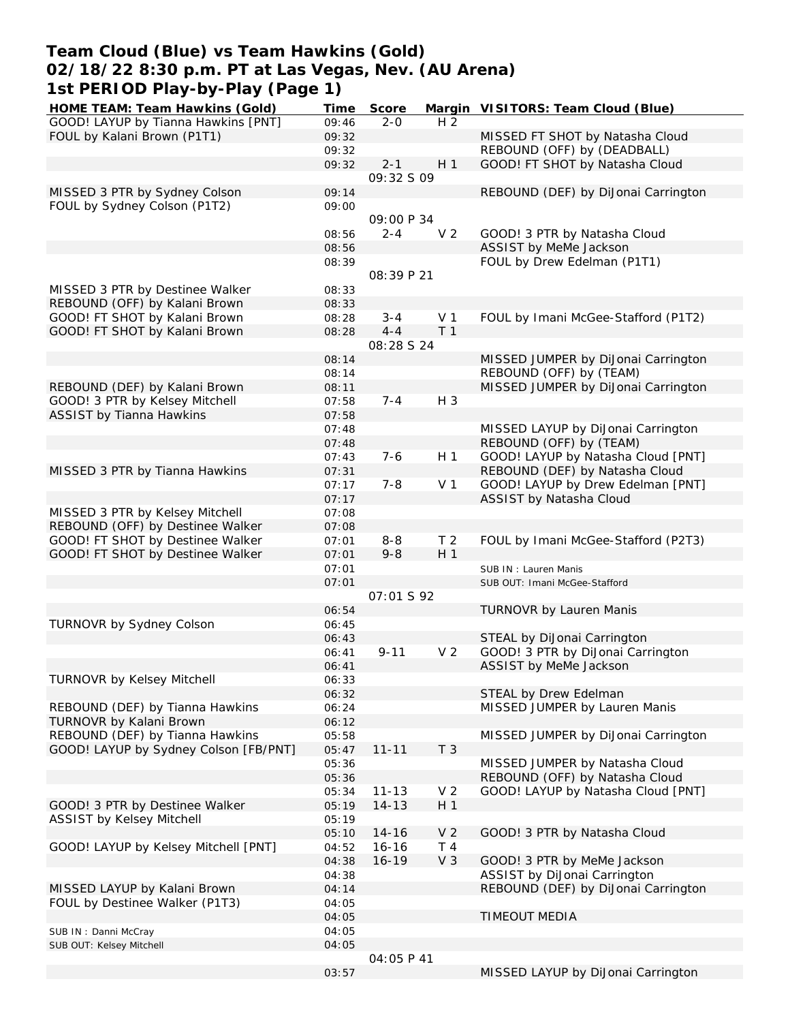## **Team Cloud (Blue) vs Team Hawkins (Gold) 02/18/22 8:30 p.m. PT at Las Vegas, Nev. (AU Arena) 1st PERIOD Play-by-Play (Page 1)**

| HOME TEAM: Team Hawkins (Gold)        | Time  | Score             |                | Margin VISITORS: Team Cloud (Blue)  |
|---------------------------------------|-------|-------------------|----------------|-------------------------------------|
| GOOD! LAYUP by Tianna Hawkins [PNT]   | 09:46 | $2 - 0$           | H <sub>2</sub> |                                     |
| FOUL by Kalani Brown (P1T1)           | 09:32 |                   |                | MISSED FT SHOT by Natasha Cloud     |
|                                       | 09:32 |                   |                | REBOUND (OFF) by (DEADBALL)         |
|                                       | 09:32 | $2 - 1$           | H <sub>1</sub> | GOOD! FT SHOT by Natasha Cloud      |
|                                       |       | 09:32 S 09        |                |                                     |
| MISSED 3 PTR by Sydney Colson         | 09:14 |                   |                | REBOUND (DEF) by DiJonai Carrington |
| FOUL by Sydney Colson (P1T2)          | 09:00 |                   |                |                                     |
|                                       |       |                   |                |                                     |
|                                       |       | 09:00 P 34        |                |                                     |
|                                       | 08:56 | $2 - 4$           | V <sub>2</sub> | GOOD! 3 PTR by Natasha Cloud        |
|                                       | 08:56 |                   |                | ASSIST by MeMe Jackson              |
|                                       | 08:39 |                   |                | FOUL by Drew Edelman (P1T1)         |
|                                       |       | 08:39 P 21        |                |                                     |
| MISSED 3 PTR by Destinee Walker       | 08:33 |                   |                |                                     |
| REBOUND (OFF) by Kalani Brown         | 08:33 |                   |                |                                     |
| GOOD! FT SHOT by Kalani Brown         | 08:28 | $3 - 4$           | V <sub>1</sub> | FOUL by Imani McGee-Stafford (P1T2) |
| GOOD! FT SHOT by Kalani Brown         | 08:28 | $4 - 4$           | T <sub>1</sub> |                                     |
|                                       |       | 08:28 S 24        |                |                                     |
|                                       |       |                   |                | MISSED JUMPER by DiJonai Carrington |
|                                       | 08:14 |                   |                |                                     |
|                                       | 08:14 |                   |                | REBOUND (OFF) by (TEAM)             |
| REBOUND (DEF) by Kalani Brown         | 08:11 |                   |                | MISSED JUMPER by DiJonai Carrington |
| GOOD! 3 PTR by Kelsey Mitchell        | 07:58 | $7 - 4$           | H 3            |                                     |
| <b>ASSIST by Tianna Hawkins</b>       | 07:58 |                   |                |                                     |
|                                       | 07:48 |                   |                | MISSED LAYUP by DiJonai Carrington  |
|                                       | 07:48 |                   |                | REBOUND (OFF) by (TEAM)             |
|                                       | 07:43 | $7 - 6$           | H <sub>1</sub> | GOOD! LAYUP by Natasha Cloud [PNT]  |
| MISSED 3 PTR by Tianna Hawkins        | 07:31 |                   |                | REBOUND (DEF) by Natasha Cloud      |
|                                       | 07:17 | $7 - 8$           | V <sub>1</sub> | GOOD! LAYUP by Drew Edelman [PNT]   |
|                                       | 07:17 |                   |                | ASSIST by Natasha Cloud             |
|                                       |       |                   |                |                                     |
| MISSED 3 PTR by Kelsey Mitchell       | 07:08 |                   |                |                                     |
| REBOUND (OFF) by Destinee Walker      | 07:08 |                   |                |                                     |
| GOOD! FT SHOT by Destinee Walker      | 07:01 | $8 - 8$           | T <sub>2</sub> | FOUL by Imani McGee-Stafford (P2T3) |
| GOOD! FT SHOT by Destinee Walker      | 07:01 | $9 - 8$           | H 1            |                                     |
|                                       | 07:01 |                   |                | SUB IN: Lauren Manis                |
|                                       | 07:01 |                   |                | SUB OUT: Imani McGee-Stafford       |
|                                       |       | <i>O7:01 S 92</i> |                |                                     |
|                                       | 06:54 |                   |                | <b>TURNOVR by Lauren Manis</b>      |
| TURNOVR by Sydney Colson              | 06:45 |                   |                |                                     |
|                                       | 06:43 |                   |                | STEAL by DiJonai Carrington         |
|                                       | 06:41 | $9 - 11$          | V <sub>2</sub> | GOOD! 3 PTR by DiJonai Carrington   |
|                                       |       |                   |                |                                     |
|                                       | 06:41 |                   |                | ASSIST by MeMe Jackson              |
| TURNOVR by Kelsey Mitchell            | 06:33 |                   |                |                                     |
|                                       | 06:32 |                   |                | STEAL by Drew Edelman               |
| REBOUND (DEF) by Tianna Hawkins       | 06:24 |                   |                | MISSED JUMPER by Lauren Manis       |
| TURNOVR by Kalani Brown               | 06:12 |                   |                |                                     |
| REBOUND (DEF) by Tianna Hawkins       | 05:58 |                   |                | MISSED JUMPER by DiJonai Carrington |
| GOOD! LAYUP by Sydney Colson [FB/PNT] | 05:47 | $11 - 11$         | T <sub>3</sub> |                                     |
|                                       | 05:36 |                   |                | MISSED JUMPER by Natasha Cloud      |
|                                       | 05:36 |                   |                | REBOUND (OFF) by Natasha Cloud      |
|                                       | 05:34 | $11 - 13$         | V <sub>2</sub> | GOOD! LAYUP by Natasha Cloud [PNT]  |
| GOOD! 3 PTR by Destinee Walker        | 05:19 | $14 - 13$         | H <sub>1</sub> |                                     |
| ASSIST by Kelsey Mitchell             | 05:19 |                   |                |                                     |
|                                       |       |                   |                |                                     |
|                                       | 05:10 | $14 - 16$         | V <sub>2</sub> | GOOD! 3 PTR by Natasha Cloud        |
| GOOD! LAYUP by Kelsey Mitchell [PNT]  | 04:52 | $16 - 16$         | T <sub>4</sub> |                                     |
|                                       | 04:38 | $16 - 19$         | V <sub>3</sub> | GOOD! 3 PTR by MeMe Jackson         |
|                                       | 04:38 |                   |                | ASSIST by DiJonai Carrington        |
| MISSED LAYUP by Kalani Brown          | 04:14 |                   |                | REBOUND (DEF) by DiJonai Carrington |
| FOUL by Destinee Walker (P1T3)        | 04:05 |                   |                |                                     |
|                                       | 04:05 |                   |                | TIMEOUT MEDIA                       |
| SUB IN: Danni McCray                  | 04:05 |                   |                |                                     |
| SUB OUT: Kelsey Mitchell              | 04:05 |                   |                |                                     |
|                                       |       | 04:05 P 41        |                |                                     |
|                                       | 03:57 |                   |                | MISSED LAYUP by DiJonai Carrington  |
|                                       |       |                   |                |                                     |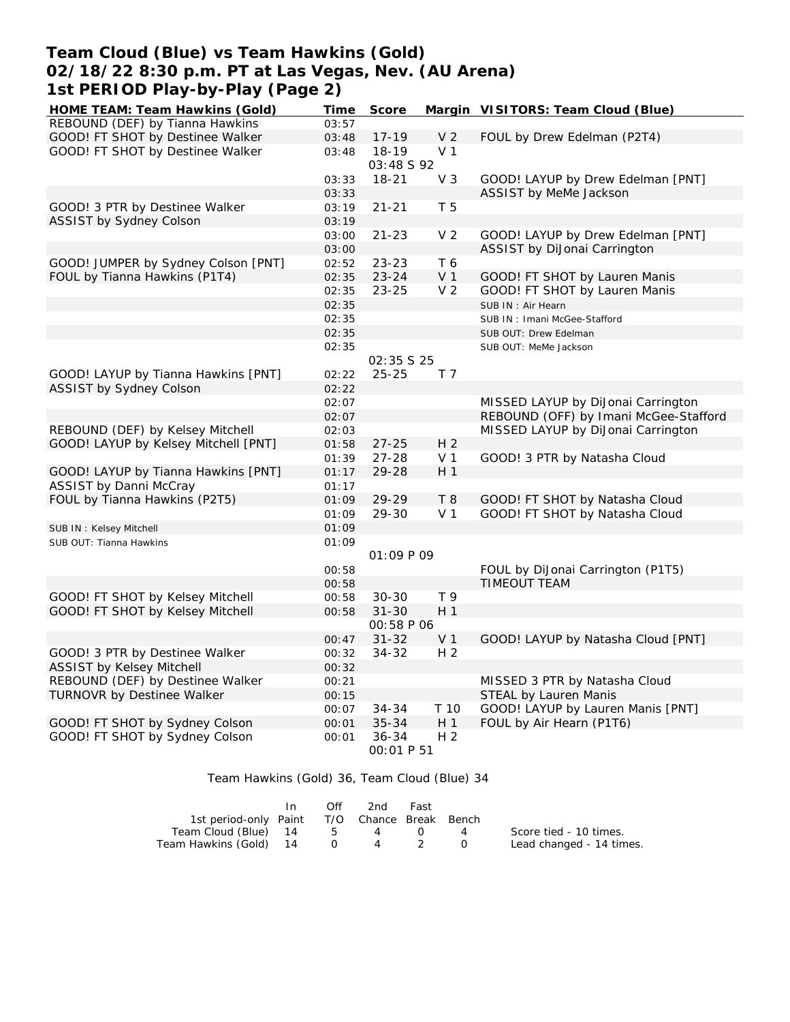## **Team Cloud (Blue) vs Team Hawkins (Gold) 02/18/22 8:30 p.m. PT at Las Vegas, Nev. (AU Arena) 1st PERIOD Play-by-Play (Page 2)**

| HOME TEAM: Team Hawkins (Gold)       | Time  | Score                          |                | Margin VISITORS: Team Cloud (Blue)    |
|--------------------------------------|-------|--------------------------------|----------------|---------------------------------------|
| REBOUND (DEF) by Tianna Hawkins      | 03:57 |                                |                |                                       |
| GOOD! FT SHOT by Destinee Walker     | 03:48 | $17 - 19$                      | V <sub>2</sub> | FOUL by Drew Edelman (P2T4)           |
| GOOD! FT SHOT by Destinee Walker     | 03:48 | $18 - 19$                      | V <sub>1</sub> |                                       |
|                                      |       | 03:48 S 92                     |                |                                       |
|                                      | 03:33 | $18 - 21$                      | V <sub>3</sub> | GOOD! LAYUP by Drew Edelman [PNT]     |
|                                      | 03:33 |                                |                | ASSIST by MeMe Jackson                |
| GOOD! 3 PTR by Destinee Walker       | 03:19 | $21 - 21$                      | T 5            |                                       |
| ASSIST by Sydney Colson              | 03:19 |                                |                |                                       |
|                                      | 03:00 | $21 - 23$                      | V <sub>2</sub> | GOOD! LAYUP by Drew Edelman [PNT]     |
|                                      | 03:00 |                                |                | ASSIST by DiJonai Carrington          |
| GOOD! JUMPER by Sydney Colson [PNT]  | 02:52 | 23-23                          | T 6            |                                       |
| FOUL by Tianna Hawkins (P1T4)        | 02:35 | $23 - 24$                      | V <sub>1</sub> | GOOD! FT SHOT by Lauren Manis         |
|                                      | 02:35 | $23 - 25$                      | V <sub>2</sub> | GOOD! FT SHOT by Lauren Manis         |
|                                      | 02:35 |                                |                | SUB IN: Air Hearn                     |
|                                      | 02:35 |                                |                | SUB IN: Imani McGee-Stafford          |
|                                      | 02:35 |                                |                | SUB OUT: Drew Edelman                 |
|                                      | 02:35 |                                |                | SUB OUT: MeMe Jackson                 |
| GOOD! LAYUP by Tianna Hawkins [PNT]  | 02:22 | <i>02:35 S 25</i><br>$25 - 25$ | T 7            |                                       |
| ASSIST by Sydney Colson              | 02:22 |                                |                |                                       |
|                                      | 02:07 |                                |                | MISSED LAYUP by DiJonai Carrington    |
|                                      | 02:07 |                                |                | REBOUND (OFF) by Imani McGee-Stafford |
| REBOUND (DEF) by Kelsey Mitchell     | 02:03 |                                |                | MISSED LAYUP by DiJonai Carrington    |
| GOOD! LAYUP by Kelsey Mitchell [PNT] | 01:58 | $27 - 25$                      | H <sub>2</sub> |                                       |
|                                      | 01:39 | $27 - 28$                      | V <sub>1</sub> | GOOD! 3 PTR by Natasha Cloud          |
| GOOD! LAYUP by Tianna Hawkins [PNT]  | 01:17 | 29-28                          | H 1            |                                       |
| <b>ASSIST by Danni McCray</b>        | 01:17 |                                |                |                                       |
| FOUL by Tianna Hawkins (P2T5)        | 01:09 | $29 - 29$                      | T 8            | GOOD! FT SHOT by Natasha Cloud        |
|                                      | 01:09 | 29-30                          | V <sub>1</sub> | GOOD! FT SHOT by Natasha Cloud        |
| SUB IN: Kelsey Mitchell              | 01:09 |                                |                |                                       |
| SUB OUT: Tianna Hawkins              | 01:09 |                                |                |                                       |
|                                      |       | <i>01:09 P 09</i>              |                |                                       |
|                                      | 00:58 |                                |                | FOUL by DiJonai Carrington (P1T5)     |
|                                      | 00:58 |                                |                | TIMEOUT TEAM                          |
| GOOD! FT SHOT by Kelsey Mitchell     | 00:58 | $30 - 30$                      | T 9            |                                       |
| GOOD! FT SHOT by Kelsey Mitchell     | 00:58 | $31 - 30$                      | H 1            |                                       |
|                                      |       | <i>00:58 P 06</i>              |                |                                       |
|                                      | 00:47 | $31 - 32$                      | V <sub>1</sub> | GOOD! LAYUP by Natasha Cloud [PNT]    |
| GOOD! 3 PTR by Destinee Walker       | 00:32 | $34 - 32$                      | H <sub>2</sub> |                                       |
| <b>ASSIST by Kelsey Mitchell</b>     | 00:32 |                                |                |                                       |
| REBOUND (DEF) by Destinee Walker     | 00:21 |                                |                | MISSED 3 PTR by Natasha Cloud         |
| TURNOVR by Destinee Walker           | 00:15 |                                |                | STEAL by Lauren Manis                 |
|                                      | 00:07 | 34-34                          | T 10           | GOOD! LAYUP by Lauren Manis [PNT]     |
| GOOD! FT SHOT by Sydney Colson       | 00:01 | $35 - 34$                      | H <sub>1</sub> | FOUL by Air Hearn (P1T6)              |
| GOOD! FT SHOT by Sydney Colson       | 00:01 | $36 - 34$<br><i>00:01 P 51</i> | H <sub>2</sub> |                                       |

### Team Hawkins (Gold) 36, Team Cloud (Blue) 34

|                                              | Off | 2nd | Fast             |          |                          |
|----------------------------------------------|-----|-----|------------------|----------|--------------------------|
| 1st period-only Paint T/O Chance Break Bench |     |     |                  |          |                          |
| Team Cloud (Blue) 14 5 4                     |     |     | $\left( \right)$ | $\sim$ 4 | Score tied - 10 times.   |
|                                              |     |     |                  |          | Lead changed - 14 times. |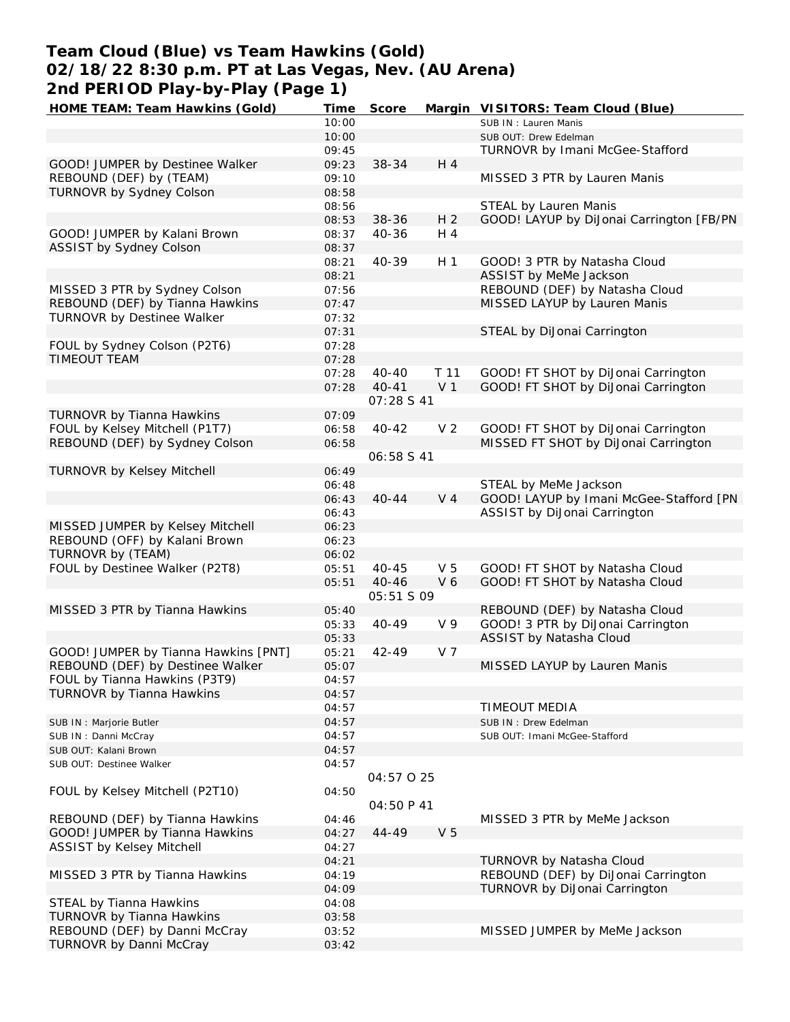# **Team Cloud (Blue) vs Team Hawkins (Gold) 02/18/22 8:30 p.m. PT at Las Vegas, Nev. (AU Arena) 2nd PERIOD Play-by-Play (Page 1)**

| HOME TEAM: Team Hawkins (Gold)       | Time  | Score      |                | Margin VISITORS: Team Cloud (Blue)       |
|--------------------------------------|-------|------------|----------------|------------------------------------------|
|                                      | 10:00 |            |                | SUB IN: Lauren Manis                     |
|                                      | 10:00 |            |                | SUB OUT: Drew Edelman                    |
|                                      | 09:45 |            |                | TURNOVR by Imani McGee-Stafford          |
| GOOD! JUMPER by Destinee Walker      | 09:23 | 38-34      | H 4            |                                          |
| REBOUND (DEF) by (TEAM)              | 09:10 |            |                | MISSED 3 PTR by Lauren Manis             |
| TURNOVR by Sydney Colson             | 08:58 |            |                |                                          |
|                                      | 08:56 |            |                | STEAL by Lauren Manis                    |
|                                      | 08:53 | 38-36      | H <sub>2</sub> | GOOD! LAYUP by DiJonai Carrington [FB/PN |
| GOOD! JUMPER by Kalani Brown         | 08:37 | 40-36      | H 4            |                                          |
| ASSIST by Sydney Colson              | 08:37 |            |                |                                          |
|                                      |       | 40-39      |                | GOOD! 3 PTR by Natasha Cloud             |
|                                      | 08:21 |            | H <sub>1</sub> |                                          |
|                                      | 08:21 |            |                | ASSIST by MeMe Jackson                   |
| MISSED 3 PTR by Sydney Colson        | 07:56 |            |                | REBOUND (DEF) by Natasha Cloud           |
| REBOUND (DEF) by Tianna Hawkins      | 07:47 |            |                | MISSED LAYUP by Lauren Manis             |
| TURNOVR by Destinee Walker           | 07:32 |            |                |                                          |
|                                      | 07:31 |            |                | STEAL by DiJonai Carrington              |
| FOUL by Sydney Colson (P2T6)         | 07:28 |            |                |                                          |
| TIMEOUT TEAM                         | 07:28 |            |                |                                          |
|                                      | 07:28 | $40 - 40$  | T 11           | GOOD! FT SHOT by DiJonai Carrington      |
|                                      | 07:28 | $40 - 41$  | V <sub>1</sub> | GOOD! FT SHOT by DiJonai Carrington      |
|                                      |       | 07:28 S 41 |                |                                          |
| TURNOVR by Tianna Hawkins            | 07:09 |            |                |                                          |
| FOUL by Kelsey Mitchell (P1T7)       | 06:58 | $40 - 42$  | V <sub>2</sub> | GOOD! FT SHOT by DiJonai Carrington      |
| REBOUND (DEF) by Sydney Colson       | 06:58 |            |                | MISSED FT SHOT by DiJonai Carrington     |
|                                      |       | 06:58 S 41 |                |                                          |
| <b>TURNOVR by Kelsey Mitchell</b>    | 06:49 |            |                |                                          |
|                                      | 06:48 |            |                | STEAL by MeMe Jackson                    |
|                                      |       | $40 - 44$  | V <sub>4</sub> | GOOD! LAYUP by Imani McGee-Stafford [PN  |
|                                      | 06:43 |            |                |                                          |
|                                      | 06:43 |            |                | ASSIST by DiJonai Carrington             |
| MISSED JUMPER by Kelsey Mitchell     | 06:23 |            |                |                                          |
| REBOUND (OFF) by Kalani Brown        | 06:23 |            |                |                                          |
| TURNOVR by (TEAM)                    | 06:02 |            |                |                                          |
| FOUL by Destinee Walker (P2T8)       | 05:51 | $40 - 45$  | V <sub>5</sub> | GOOD! FT SHOT by Natasha Cloud           |
|                                      | 05:51 | $40 - 46$  | V6             | GOOD! FT SHOT by Natasha Cloud           |
|                                      |       | 05:51 S 09 |                |                                          |
| MISSED 3 PTR by Tianna Hawkins       | 05:40 |            |                | REBOUND (DEF) by Natasha Cloud           |
|                                      | 05:33 | $40 - 49$  | V <sub>9</sub> | GOOD! 3 PTR by DiJonai Carrington        |
|                                      | 05:33 |            |                | ASSIST by Natasha Cloud                  |
| GOOD! JUMPER by Tianna Hawkins [PNT] | 05:21 | $42 - 49$  | V <sub>7</sub> |                                          |
| REBOUND (DEF) by Destinee Walker     | 05:07 |            |                | MISSED LAYUP by Lauren Manis             |
| FOUL by Tianna Hawkins (P3T9)        | 04:57 |            |                |                                          |
| TURNOVR by Tianna Hawkins            | 04:57 |            |                |                                          |
|                                      | 04:57 |            |                | TIMEOUT MEDIA                            |
| SUB IN : Marjorie Butler             | 04:57 |            |                | SUB IN: Drew Edelman                     |
| SUB IN: Danni McCray                 | 04:57 |            |                | SUB OUT: Imani McGee-Stafford            |
|                                      | 04:57 |            |                |                                          |
| SUB OUT: Kalani Brown                |       |            |                |                                          |
| SUB OUT: Destinee Walker             | 04:57 |            |                |                                          |
|                                      |       | 04:57 0 25 |                |                                          |
| FOUL by Kelsey Mitchell (P2T10)      | 04:50 |            |                |                                          |
|                                      |       | 04:50 P 41 |                |                                          |
| REBOUND (DEF) by Tianna Hawkins      | 04:46 |            |                | MISSED 3 PTR by MeMe Jackson             |
| GOOD! JUMPER by Tianna Hawkins       | 04:27 | $44 - 49$  | V <sub>5</sub> |                                          |
| ASSIST by Kelsey Mitchell            | 04:27 |            |                |                                          |
|                                      | 04:21 |            |                | TURNOVR by Natasha Cloud                 |
| MISSED 3 PTR by Tianna Hawkins       | 04:19 |            |                | REBOUND (DEF) by DiJonai Carrington      |
|                                      | 04:09 |            |                | TURNOVR by DiJonai Carrington            |
| STEAL by Tianna Hawkins              | 04:08 |            |                |                                          |
| TURNOVR by Tianna Hawkins            | 03:58 |            |                |                                          |
| REBOUND (DEF) by Danni McCray        | 03:52 |            |                | MISSED JUMPER by MeMe Jackson            |
| TURNOVR by Danni McCray              | 03:42 |            |                |                                          |
|                                      |       |            |                |                                          |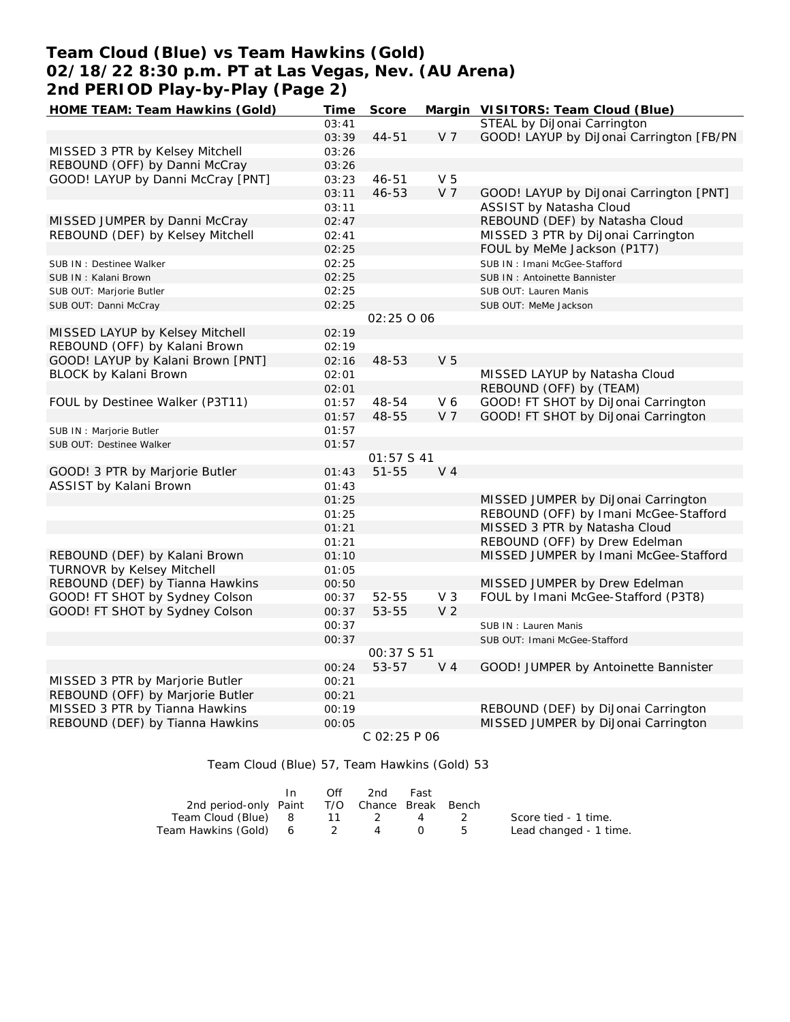# **Team Cloud (Blue) vs Team Hawkins (Gold) 02/18/22 8:30 p.m. PT at Las Vegas, Nev. (AU Arena) 2nd PERIOD Play-by-Play (Page 2)**

| HOME TEAM: Team Hawkins (Gold)    | Time  | Score       |                | Margin VISITORS: Team Cloud (Blue)       |
|-----------------------------------|-------|-------------|----------------|------------------------------------------|
|                                   | 03:41 |             |                | STEAL by DiJonai Carrington              |
|                                   | 03:39 | $44 - 51$   | V <sub>7</sub> | GOOD! LAYUP by DiJonai Carrington [FB/PN |
| MISSED 3 PTR by Kelsey Mitchell   | 03:26 |             |                |                                          |
| REBOUND (OFF) by Danni McCray     | 03:26 |             |                |                                          |
| GOOD! LAYUP by Danni McCray [PNT] | 03:23 | 46-51       | V <sub>5</sub> |                                          |
|                                   | 03:11 | 46-53       | V <sub>7</sub> | GOOD! LAYUP by DiJonai Carrington [PNT]  |
|                                   | 03:11 |             |                | ASSIST by Natasha Cloud                  |
| MISSED JUMPER by Danni McCray     | 02:47 |             |                | REBOUND (DEF) by Natasha Cloud           |
| REBOUND (DEF) by Kelsey Mitchell  | 02:41 |             |                | MISSED 3 PTR by DiJonai Carrington       |
|                                   | 02:25 |             |                | FOUL by MeMe Jackson (P1T7)              |
| SUB IN : Destinee Walker          | 02:25 |             |                | SUB IN: Imani McGee-Stafford             |
| SUB IN: Kalani Brown              | 02:25 |             |                | SUB IN: Antoinette Bannister             |
| SUB OUT: Marjorie Butler          | 02:25 |             |                | SUB OUT: Lauren Manis                    |
| SUB OUT: Danni McCray             | 02:25 |             |                | SUB OUT: MeMe Jackson                    |
|                                   |       | 02:25 0 06  |                |                                          |
| MISSED LAYUP by Kelsey Mitchell   | 02:19 |             |                |                                          |
| REBOUND (OFF) by Kalani Brown     | 02:19 |             |                |                                          |
| GOOD! LAYUP by Kalani Brown [PNT] |       | 48-53       | V <sub>5</sub> |                                          |
| BLOCK by Kalani Brown             | 02:16 |             |                | MISSED LAYUP by Natasha Cloud            |
|                                   | 02:01 |             |                |                                          |
|                                   | 02:01 |             |                | REBOUND (OFF) by (TEAM)                  |
| FOUL by Destinee Walker (P3T11)   | 01:57 | 48-54       | V 6            | GOOD! FT SHOT by DiJonai Carrington      |
|                                   | 01:57 | 48-55       | V <sub>7</sub> | GOOD! FT SHOT by DiJonai Carrington      |
| SUB IN : Marjorie Butler          | 01:57 |             |                |                                          |
| SUB OUT: Destinee Walker          | 01:57 |             |                |                                          |
|                                   |       | 01:57 S 41  |                |                                          |
| GOOD! 3 PTR by Marjorie Butler    | 01:43 | $51 - 55$   | V <sub>4</sub> |                                          |
| ASSIST by Kalani Brown            | 01:43 |             |                |                                          |
|                                   | 01:25 |             |                | MISSED JUMPER by DiJonai Carrington      |
|                                   | 01:25 |             |                | REBOUND (OFF) by Imani McGee-Stafford    |
|                                   | 01:21 |             |                | MISSED 3 PTR by Natasha Cloud            |
|                                   | 01:21 |             |                | REBOUND (OFF) by Drew Edelman            |
| REBOUND (DEF) by Kalani Brown     | 01:10 |             |                | MISSED JUMPER by Imani McGee-Stafford    |
| <b>TURNOVR by Kelsey Mitchell</b> | 01:05 |             |                |                                          |
| REBOUND (DEF) by Tianna Hawkins   | 00:50 |             |                | MISSED JUMPER by Drew Edelman            |
| GOOD! FT SHOT by Sydney Colson    | 00:37 | 52-55       | V <sub>3</sub> | FOUL by Imani McGee-Stafford (P3T8)      |
| GOOD! FT SHOT by Sydney Colson    | 00:37 | 53-55       | V <sub>2</sub> |                                          |
|                                   | 00:37 |             |                | SUB IN: Lauren Manis                     |
|                                   | 00:37 |             |                | SUB OUT: Imani McGee-Stafford            |
|                                   |       | 00:37 \$ 51 |                |                                          |
|                                   | 00:24 | 53-57       | V <sub>4</sub> | GOOD! JUMPER by Antoinette Bannister     |
| MISSED 3 PTR by Marjorie Butler   | 00:21 |             |                |                                          |
| REBOUND (OFF) by Marjorie Butler  | 00:21 |             |                |                                          |
| MISSED 3 PTR by Tianna Hawkins    | 00:19 |             |                | REBOUND (DEF) by DiJonai Carrington      |
| REBOUND (DEF) by Tianna Hawkins   | 00:05 |             |                | MISSED JUMPER by DiJonai Carrington      |
|                                   |       | 2.02.05.04  |                |                                          |

 *C 02:25 P 06*

Team Cloud (Blue) 57, Team Hawkins (Gold) 53

|                                              | In In | Off | 2nd | Fast |     |                        |
|----------------------------------------------|-------|-----|-----|------|-----|------------------------|
| 2nd period-only Paint T/O Chance Break Bench |       |     |     |      |     |                        |
| Team Cloud (Blue) 8 11 2 4                   |       |     |     |      |     | Score tied - 1 time.   |
| Team Hawkins (Gold) 6 2                      |       |     | 4 0 |      | - 5 | Lead changed - 1 time. |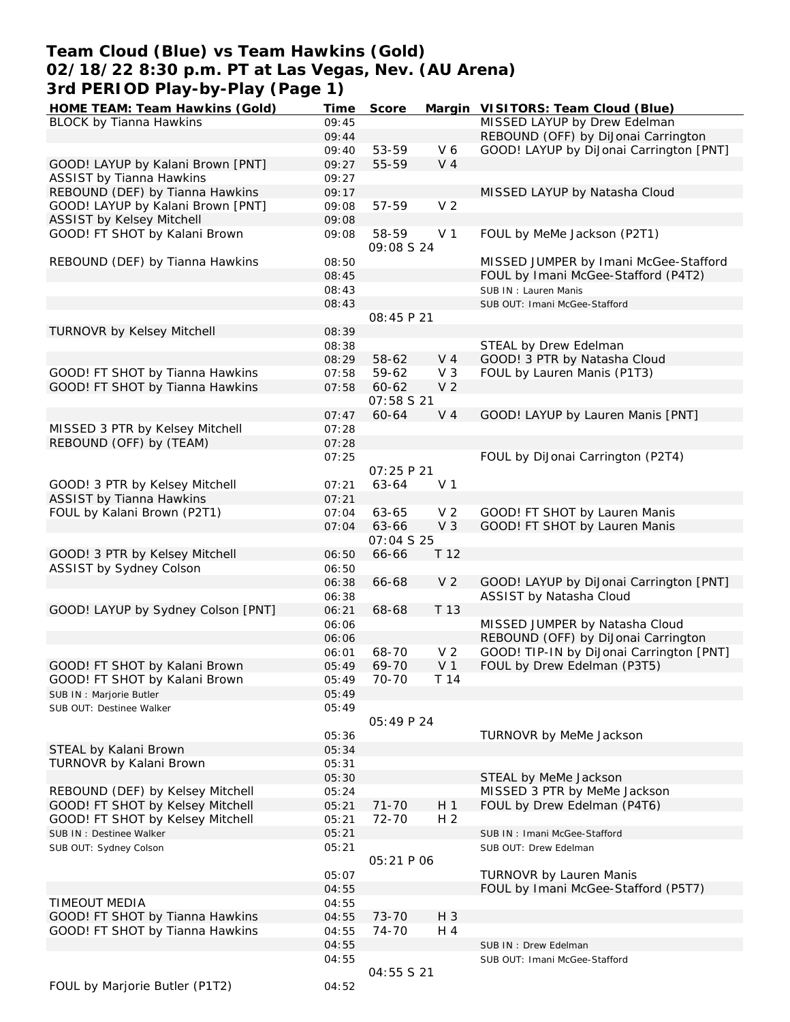# **Team Cloud (Blue) vs Team Hawkins (Gold) 02/18/22 8:30 p.m. PT at Las Vegas, Nev. (AU Arena) 3rd PERIOD Play-by-Play (Page 1)**

| HOME TEAM: Team Hawkins (Gold)     | Time           | Score             |                | Margin VISITORS: Team Cloud (Blue)       |
|------------------------------------|----------------|-------------------|----------------|------------------------------------------|
| <b>BLOCK by Tianna Hawkins</b>     | 09:45          |                   |                | MISSED LAYUP by Drew Edelman             |
|                                    | 09:44          |                   |                | REBOUND (OFF) by DiJonai Carrington      |
|                                    | 09:40          | 53-59             | V6             | GOOD! LAYUP by DiJonai Carrington [PNT]  |
| GOOD! LAYUP by Kalani Brown [PNT]  | 09:27          | 55-59             | V <sub>4</sub> |                                          |
| <b>ASSIST by Tianna Hawkins</b>    | 09:27          |                   |                |                                          |
| REBOUND (DEF) by Tianna Hawkins    | 09:17          |                   |                | MISSED LAYUP by Natasha Cloud            |
| GOOD! LAYUP by Kalani Brown [PNT]  | 09:08          | 57-59             | V <sub>2</sub> |                                          |
| ASSIST by Kelsey Mitchell          | 09:08          |                   |                |                                          |
| GOOD! FT SHOT by Kalani Brown      | 09:08          | 58-59             | V <sub>1</sub> | FOUL by MeMe Jackson (P2T1)              |
|                                    |                | 09:08 S 24        |                |                                          |
| REBOUND (DEF) by Tianna Hawkins    | 08:50          |                   |                | MISSED JUMPER by Imani McGee-Stafford    |
|                                    | 08:45          |                   |                | FOUL by Imani McGee-Stafford (P4T2)      |
|                                    | 08:43          |                   |                | SUB IN: Lauren Manis                     |
|                                    | 08:43          |                   |                | SUB OUT: Imani McGee-Stafford            |
|                                    |                | 08:45 P 21        |                |                                          |
| TURNOVR by Kelsey Mitchell         | 08:39          |                   |                |                                          |
|                                    | 08:38          |                   |                | STEAL by Drew Edelman                    |
|                                    | 08:29          | 58-62             | V <sub>4</sub> | GOOD! 3 PTR by Natasha Cloud             |
| GOOD! FT SHOT by Tianna Hawkins    | 07:58          | 59-62             | $V_3$          | FOUL by Lauren Manis (P1T3)              |
| GOOD! FT SHOT by Tianna Hawkins    | 07:58          | 60-62             | V <sub>2</sub> |                                          |
|                                    |                | 07:58 \$ 21       |                |                                          |
|                                    | 07:47          | 60-64             | V <sub>4</sub> | GOOD! LAYUP by Lauren Manis [PNT]        |
| MISSED 3 PTR by Kelsey Mitchell    | 07:28          |                   |                |                                          |
| REBOUND (OFF) by (TEAM)            | 07:28          |                   |                |                                          |
|                                    | 07:25          |                   |                | FOUL by DiJonai Carrington (P2T4)        |
|                                    |                | 07:25 P 21        |                |                                          |
| GOOD! 3 PTR by Kelsey Mitchell     | 07:21          | 63-64             | V <sub>1</sub> |                                          |
| <b>ASSIST by Tianna Hawkins</b>    | 07:21          |                   |                |                                          |
| FOUL by Kalani Brown (P2T1)        | 07:04          | 63-65             | V <sub>2</sub> | GOOD! FT SHOT by Lauren Manis            |
|                                    | 07:04          | 63-66             | V <sub>3</sub> | GOOD! FT SHOT by Lauren Manis            |
|                                    |                | 07:04 S 25        |                |                                          |
| GOOD! 3 PTR by Kelsey Mitchell     | 06:50          | 66-66             | T 12           |                                          |
| ASSIST by Sydney Colson            | 06:50          |                   |                |                                          |
|                                    |                | 66-68             | V <sub>2</sub> | GOOD! LAYUP by DiJonai Carrington [PNT]  |
|                                    | 06:38          |                   |                |                                          |
|                                    | 06:38<br>06:21 |                   | T 13           | ASSIST by Natasha Cloud                  |
| GOOD! LAYUP by Sydney Colson [PNT] |                | 68-68             |                | MISSED JUMPER by Natasha Cloud           |
|                                    | 06:06          |                   |                | REBOUND (OFF) by DiJonai Carrington      |
|                                    | 06:06          | 68-70             | V <sub>2</sub> | GOOD! TIP-IN by DiJonai Carrington [PNT] |
|                                    | 06:01<br>05:49 | 69-70             | V <sub>1</sub> | FOUL by Drew Edelman (P3T5)              |
| GOOD! FT SHOT by Kalani Brown      |                |                   | T 14           |                                          |
| GOOD! FT SHOT by Kalani Brown      | 05:49          | 70-70             |                |                                          |
| SUB IN: Marjorie Butler            | 05:49          |                   |                |                                          |
| SUB OUT: Destinee Walker           | 05:49          |                   |                |                                          |
|                                    |                | 05:49 P 24        |                |                                          |
|                                    | 05:36          |                   |                | TURNOVR by MeMe Jackson                  |
| STEAL by Kalani Brown              | 05:34          |                   |                |                                          |
| TURNOVR by Kalani Brown            | 05:31          |                   |                |                                          |
|                                    | 05:30          |                   |                | STEAL by MeMe Jackson                    |
| REBOUND (DEF) by Kelsey Mitchell   | 05:24          |                   |                | MISSED 3 PTR by MeMe Jackson             |
| GOOD! FT SHOT by Kelsey Mitchell   | 05:21          | $71 - 70$         | H 1            | FOUL by Drew Edelman (P4T6)              |
| GOOD! FT SHOT by Kelsey Mitchell   | 05:21          | 72-70             | H <sub>2</sub> |                                          |
| SUB IN : Destinee Walker           | 05:21          |                   |                | SUB IN: Imani McGee-Stafford             |
| SUB OUT: Sydney Colson             | 05:21          |                   |                | SUB OUT: Drew Edelman                    |
|                                    |                | <i>05:21 P 06</i> |                |                                          |
|                                    | 05:07          |                   |                | <b>TURNOVR by Lauren Manis</b>           |
|                                    | 04:55          |                   |                | FOUL by Imani McGee-Stafford (P5T7)      |
| TIMEOUT MEDIA                      | 04:55          |                   |                |                                          |
| GOOD! FT SHOT by Tianna Hawkins    | 04:55          | 73-70             | $H_3$          |                                          |
| GOOD! FT SHOT by Tianna Hawkins    | 04:55          | 74-70             | H 4            |                                          |
|                                    | 04:55          |                   |                | SUB IN: Drew Edelman                     |
|                                    | 04:55          |                   |                | SUB OUT: Imani McGee-Stafford            |
|                                    |                | 04:55 S 21        |                |                                          |
| FOUL by Marjorie Butler (P1T2)     | 04:52          |                   |                |                                          |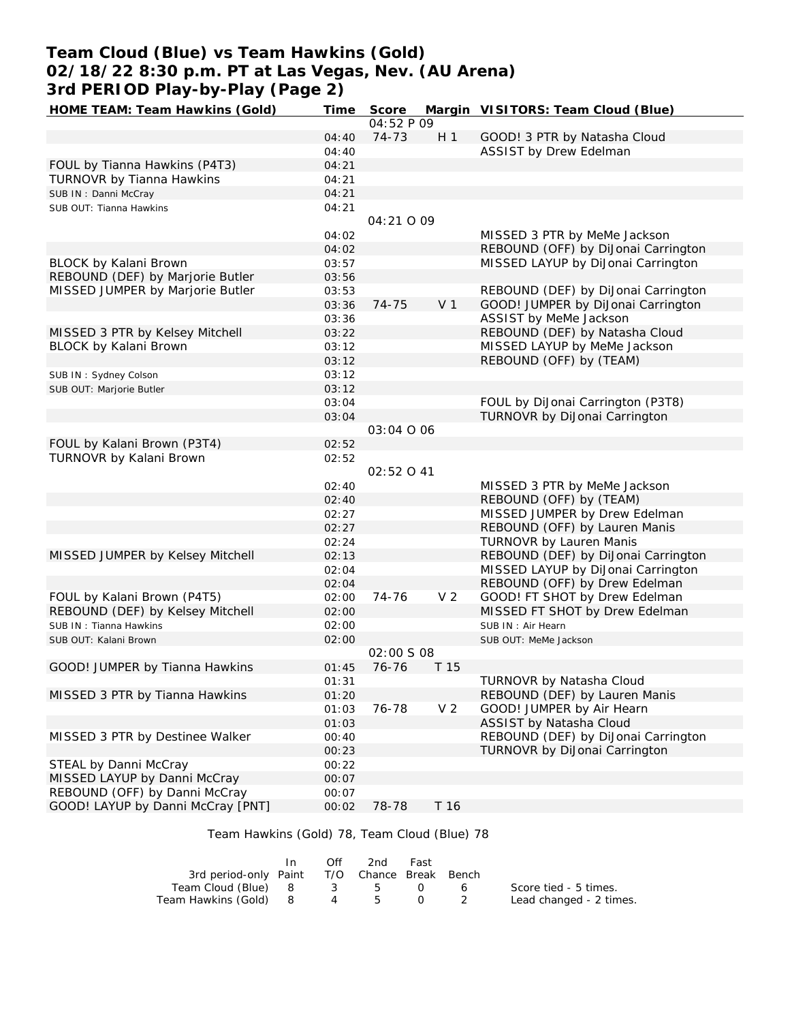# **Team Cloud (Blue) vs Team Hawkins (Gold) 02/18/22 8:30 p.m. PT at Las Vegas, Nev. (AU Arena) 3rd PERIOD Play-by-Play (Page 2)**

| HOME TEAM: Team Hawkins (Gold)    | Time  | Score      |                | Margin VISITORS: Team Cloud (Blue)  |
|-----------------------------------|-------|------------|----------------|-------------------------------------|
|                                   |       | 04:52 P 09 |                |                                     |
|                                   | 04:40 | 74-73      | H <sub>1</sub> | GOOD! 3 PTR by Natasha Cloud        |
|                                   | 04:40 |            |                | ASSIST by Drew Edelman              |
| FOUL by Tianna Hawkins (P4T3)     | 04:21 |            |                |                                     |
| TURNOVR by Tianna Hawkins         | 04:21 |            |                |                                     |
| SUB IN: Danni McCray              | 04:21 |            |                |                                     |
| SUB OUT: Tianna Hawkins           | 04:21 |            |                |                                     |
|                                   |       | 04:21 0 09 |                |                                     |
|                                   | 04:02 |            |                | MISSED 3 PTR by MeMe Jackson        |
|                                   | 04:02 |            |                | REBOUND (OFF) by DiJonai Carrington |
| BLOCK by Kalani Brown             | 03:57 |            |                | MISSED LAYUP by DiJonai Carrington  |
| REBOUND (DEF) by Marjorie Butler  | 03:56 |            |                |                                     |
| MISSED JUMPER by Marjorie Butler  | 03:53 |            |                | REBOUND (DEF) by DiJonai Carrington |
|                                   | 03:36 | 74-75      | V <sub>1</sub> | GOOD! JUMPER by DiJonai Carrington  |
|                                   | 03:36 |            |                | ASSIST by MeMe Jackson              |
| MISSED 3 PTR by Kelsey Mitchell   | 03:22 |            |                | REBOUND (DEF) by Natasha Cloud      |
| BLOCK by Kalani Brown             | 03:12 |            |                | MISSED LAYUP by MeMe Jackson        |
|                                   | 03:12 |            |                | REBOUND (OFF) by (TEAM)             |
| SUB IN: Sydney Colson             | 03:12 |            |                |                                     |
| SUB OUT: Marjorie Butler          | 03:12 |            |                |                                     |
|                                   | 03:04 |            |                | FOUL by DiJonai Carrington (P3T8)   |
|                                   | 03:04 |            |                | TURNOVR by DiJonai Carrington       |
|                                   |       | 03:04 0 06 |                |                                     |
| FOUL by Kalani Brown (P3T4)       | 02:52 |            |                |                                     |
| TURNOVR by Kalani Brown           | 02:52 |            |                |                                     |
|                                   |       | 02:52041   |                |                                     |
|                                   | 02:40 |            |                | MISSED 3 PTR by MeMe Jackson        |
|                                   | 02:40 |            |                | REBOUND (OFF) by (TEAM)             |
|                                   | 02:27 |            |                | MISSED JUMPER by Drew Edelman       |
|                                   | 02:27 |            |                | REBOUND (OFF) by Lauren Manis       |
|                                   | 02:24 |            |                | <b>TURNOVR by Lauren Manis</b>      |
| MISSED JUMPER by Kelsey Mitchell  | 02:13 |            |                | REBOUND (DEF) by DiJonai Carrington |
|                                   | 02:04 |            |                | MISSED LAYUP by DiJonai Carrington  |
|                                   | 02:04 |            |                | REBOUND (OFF) by Drew Edelman       |
| FOUL by Kalani Brown (P4T5)       | 02:00 | 74-76      | V <sub>2</sub> | GOOD! FT SHOT by Drew Edelman       |
| REBOUND (DEF) by Kelsey Mitchell  | 02:00 |            |                | MISSED FT SHOT by Drew Edelman      |
| SUB IN: Tianna Hawkins            | 02:00 |            |                | SUB IN: Air Hearn                   |
| SUB OUT: Kalani Brown             | 02:00 |            |                | SUB OUT: MeMe Jackson               |
|                                   |       | 02:00 S 08 |                |                                     |
| GOOD! JUMPER by Tianna Hawkins    | 01:45 | 76-76      | T 15           |                                     |
|                                   | 01:31 |            |                | TURNOVR by Natasha Cloud            |
| MISSED 3 PTR by Tianna Hawkins    | 01:20 |            |                | REBOUND (DEF) by Lauren Manis       |
|                                   | 01:03 | 76-78      | V <sub>2</sub> | GOOD! JUMPER by Air Hearn           |
|                                   | 01:03 |            |                | ASSIST by Natasha Cloud             |
| MISSED 3 PTR by Destinee Walker   | 00:40 |            |                | REBOUND (DEF) by DiJonai Carrington |
|                                   | 00:23 |            |                | TURNOVR by DiJonai Carrington       |
| STEAL by Danni McCray             | 00:22 |            |                |                                     |
| MISSED LAYUP by Danni McCray      | 00:07 |            |                |                                     |
| REBOUND (OFF) by Danni McCray     | 00:07 |            |                |                                     |
| GOOD! LAYUP by Danni McCray [PNT] | 00:02 | 78-78      | T 16           |                                     |
|                                   |       |            |                |                                     |

## Team Hawkins (Gold) 78, Team Cloud (Blue) 78

|                                              | In. | Off | 2nd | Fast |                         |
|----------------------------------------------|-----|-----|-----|------|-------------------------|
| 3rd period-only Paint T/O Chance Break Bench |     |     |     |      |                         |
| Team Cloud (Blue) 8 3 5 0 6                  |     |     |     |      | Score tied - 5 times.   |
| Team Hawkins (Gold) 8 4 5                    |     |     |     |      | Lead changed - 2 times. |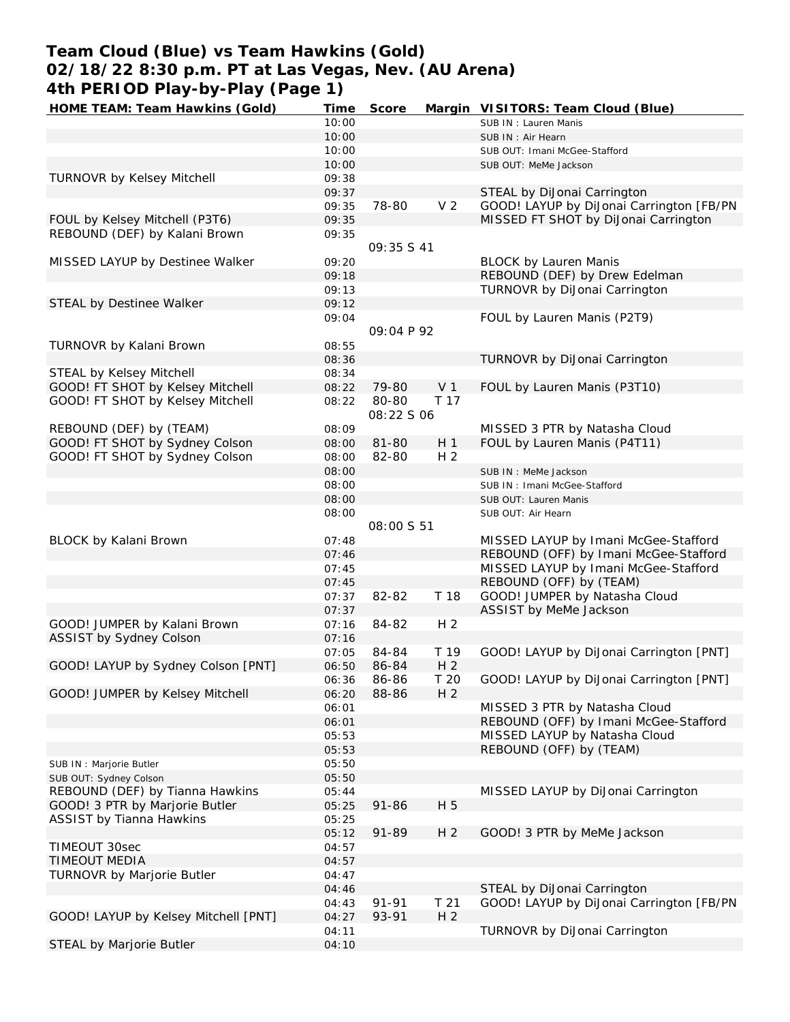# **Team Cloud (Blue) vs Team Hawkins (Gold) 02/18/22 8:30 p.m. PT at Las Vegas, Nev. (AU Arena) 4th PERIOD Play-by-Play (Page 1)**

| HOME TEAM: Team Hawkins (Gold)       | Time  | Score                      |                 | Margin VISITORS: Team Cloud (Blue)       |
|--------------------------------------|-------|----------------------------|-----------------|------------------------------------------|
|                                      | 10:00 |                            |                 | SUB IN: Lauren Manis                     |
|                                      | 10:00 |                            |                 | SUB IN : Air Hearn                       |
|                                      | 10:00 |                            |                 | SUB OUT: Imani McGee-Stafford            |
|                                      | 10:00 |                            |                 | SUB OUT: MeMe Jackson                    |
| <b>TURNOVR by Kelsey Mitchell</b>    | 09:38 |                            |                 |                                          |
|                                      | 09:37 |                            |                 | STEAL by DiJonai Carrington              |
|                                      | 09:35 | 78-80                      | V <sub>2</sub>  | GOOD! LAYUP by DiJonai Carrington [FB/PN |
| FOUL by Kelsey Mitchell (P3T6)       | 09:35 |                            |                 | MISSED FT SHOT by DiJonai Carrington     |
| REBOUND (DEF) by Kalani Brown        | 09:35 |                            |                 |                                          |
|                                      |       | 09:35 S 41                 |                 |                                          |
| MISSED LAYUP by Destinee Walker      | 09:20 |                            |                 | <b>BLOCK by Lauren Manis</b>             |
|                                      | 09:18 |                            |                 | REBOUND (DEF) by Drew Edelman            |
|                                      |       |                            |                 |                                          |
|                                      | 09:13 |                            |                 | TURNOVR by DiJonai Carrington            |
| STEAL by Destinee Walker             | 09:12 |                            |                 |                                          |
|                                      | 09:04 | 09:04 P 92                 |                 | FOUL by Lauren Manis (P2T9)              |
| TURNOVR by Kalani Brown              | 08:55 |                            |                 |                                          |
|                                      | 08:36 |                            |                 | TURNOVR by DiJonai Carrington            |
| STEAL by Kelsey Mitchell             | 08:34 |                            |                 |                                          |
|                                      |       |                            |                 |                                          |
| GOOD! FT SHOT by Kelsey Mitchell     | 08:22 | 79-80                      | V <sub>1</sub>  | FOUL by Lauren Manis (P3T10)             |
| GOOD! FT SHOT by Kelsey Mitchell     | 08:22 | 80-80<br><i>08:22 S 06</i> | T 17            |                                          |
| REBOUND (DEF) by (TEAM)              | 08:09 |                            |                 | MISSED 3 PTR by Natasha Cloud            |
| GOOD! FT SHOT by Sydney Colson       | 08:00 | 81-80                      | H <sub>1</sub>  | FOUL by Lauren Manis (P4T11)             |
| GOOD! FT SHOT by Sydney Colson       | 08:00 | 82-80                      | H <sub>2</sub>  |                                          |
|                                      | 08:00 |                            |                 | SUB IN : MeMe Jackson                    |
|                                      | 08:00 |                            |                 | SUB IN: Imani McGee-Stafford             |
|                                      | 08:00 |                            |                 |                                          |
|                                      | 08:00 |                            |                 | SUB OUT: Lauren Manis                    |
|                                      |       | <i>08:00 S 51</i>          |                 | SUB OUT: Air Hearn                       |
| BLOCK by Kalani Brown                | 07:48 |                            |                 | MISSED LAYUP by Imani McGee-Stafford     |
|                                      | 07:46 |                            |                 | REBOUND (OFF) by Imani McGee-Stafford    |
|                                      | 07:45 |                            |                 | MISSED LAYUP by Imani McGee-Stafford     |
|                                      | 07:45 |                            |                 | REBOUND (OFF) by (TEAM)                  |
|                                      | 07:37 | 82-82                      | T 18            | GOOD! JUMPER by Natasha Cloud            |
|                                      | 07:37 |                            |                 | ASSIST by MeMe Jackson                   |
| GOOD! JUMPER by Kalani Brown         | 07:16 | 84-82                      | H <sub>2</sub>  |                                          |
|                                      |       |                            |                 |                                          |
| ASSIST by Sydney Colson              | 07:16 |                            |                 |                                          |
|                                      | 07:05 | 84-84                      | T 19            | GOOD! LAYUP by DiJonai Carrington [PNT]  |
| GOOD! LAYUP by Sydney Colson [PNT]   | 06:50 | 86-84                      | H <sub>2</sub>  |                                          |
|                                      | 06:36 | 86-86                      | T 20            | GOOD! LAYUP by DiJonai Carrington [PNT]  |
| GOOD! JUMPER by Kelsey Mitchell      | 06:20 | 88-86                      | H <sub>2</sub>  |                                          |
|                                      | 06:01 |                            |                 | MISSED 3 PTR by Natasha Cloud            |
|                                      | 06:01 |                            |                 | REBOUND (OFF) by Imani McGee-Stafford    |
|                                      | 05:53 |                            |                 | MISSED LAYUP by Natasha Cloud            |
|                                      | 05:53 |                            |                 | REBOUND (OFF) by (TEAM)                  |
| SUB IN : Marjorie Butler             | 05:50 |                            |                 |                                          |
| SUB OUT: Sydney Colson               | 05:50 |                            |                 |                                          |
| REBOUND (DEF) by Tianna Hawkins      | 05:44 |                            |                 | MISSED LAYUP by DiJonai Carrington       |
| GOOD! 3 PTR by Marjorie Butler       | 05:25 | $91 - 86$                  | H 5             |                                          |
| <b>ASSIST by Tianna Hawkins</b>      | 05:25 |                            |                 |                                          |
|                                      | 05:12 | 91-89                      | H <sub>2</sub>  | GOOD! 3 PTR by MeMe Jackson              |
| TIMEOUT 30sec                        | 04:57 |                            |                 |                                          |
| TIMEOUT MEDIA                        | 04:57 |                            |                 |                                          |
| TURNOVR by Marjorie Butler           | 04:47 |                            |                 |                                          |
|                                      | 04:46 |                            |                 | STEAL by DiJonai Carrington              |
|                                      | 04:43 | 91-91                      | T <sub>21</sub> | GOOD! LAYUP by DiJonal Carrington [FB/PN |
| GOOD! LAYUP by Kelsey Mitchell [PNT] | 04:27 | 93-91                      | H <sub>2</sub>  |                                          |
|                                      | 04:11 |                            |                 | TURNOVR by DiJonai Carrington            |
|                                      |       |                            |                 |                                          |
| STEAL by Marjorie Butler             | 04:10 |                            |                 |                                          |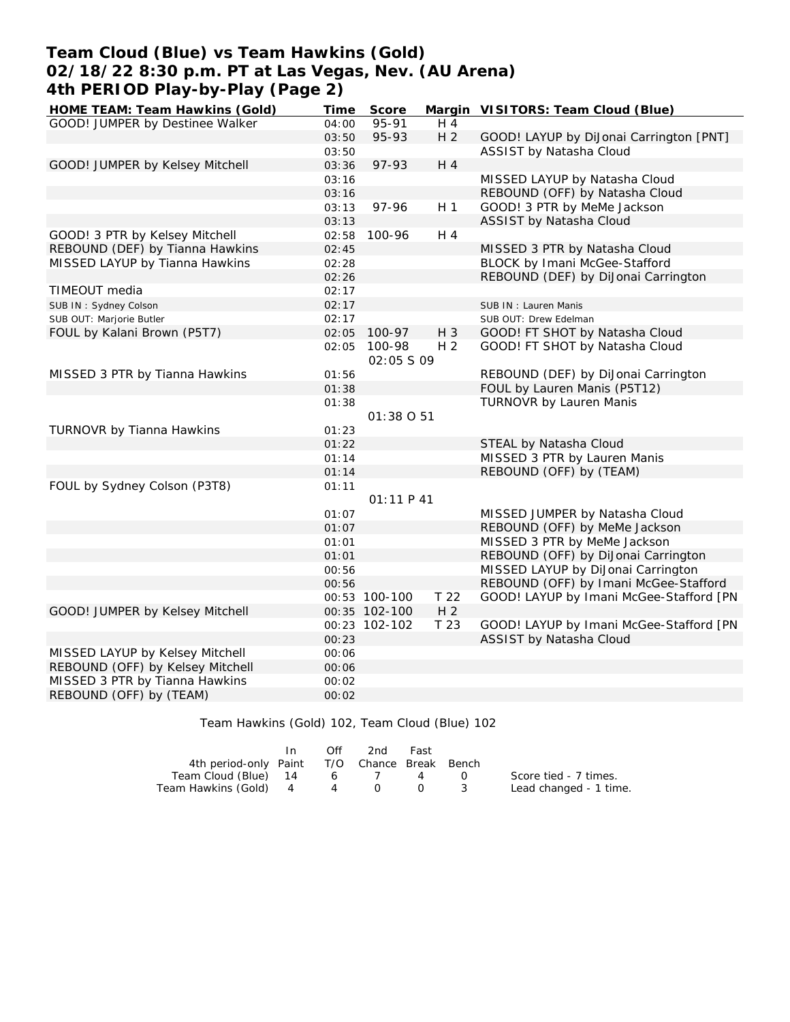## **Team Cloud (Blue) vs Team Hawkins (Gold) 02/18/22 8:30 p.m. PT at Las Vegas, Nev. (AU Arena) 4th PERIOD Play-by-Play (Page 2)**

| HOME TEAM: Team Hawkins (Gold)   | Time  | Score                 |                 | Margin VISITORS: Team Cloud (Blue)      |
|----------------------------------|-------|-----------------------|-----------------|-----------------------------------------|
| GOOD! JUMPER by Destinee Walker  | 04:00 | 95-91                 | H 4             |                                         |
|                                  | 03:50 | 95-93                 | H <sub>2</sub>  | GOOD! LAYUP by DiJonai Carrington [PNT] |
|                                  | 03:50 |                       |                 | ASSIST by Natasha Cloud                 |
| GOOD! JUMPER by Kelsey Mitchell  | 03:36 | 97-93                 | H 4             |                                         |
|                                  | 03:16 |                       |                 | MISSED LAYUP by Natasha Cloud           |
|                                  | 03:16 |                       |                 | REBOUND (OFF) by Natasha Cloud          |
|                                  | 03:13 | 97-96                 | H <sub>1</sub>  | GOOD! 3 PTR by MeMe Jackson             |
|                                  | 03:13 |                       |                 | ASSIST by Natasha Cloud                 |
| GOOD! 3 PTR by Kelsey Mitchell   | 02:58 | 100-96                | H 4             |                                         |
| REBOUND (DEF) by Tianna Hawkins  | 02:45 |                       |                 | MISSED 3 PTR by Natasha Cloud           |
| MISSED LAYUP by Tianna Hawkins   | 02:28 |                       |                 | BLOCK by Imani McGee-Stafford           |
|                                  | 02:26 |                       |                 | REBOUND (DEF) by DiJonai Carrington     |
| TIMEOUT media                    | 02:17 |                       |                 |                                         |
| SUB IN: Sydney Colson            | 02:17 |                       |                 | SUB IN: Lauren Manis                    |
| SUB OUT: Marjorie Butler         | 02:17 |                       |                 | SUB OUT: Drew Edelman                   |
| FOUL by Kalani Brown (P5T7)      | 02:05 | 100-97                | H 3             | GOOD! FT SHOT by Natasha Cloud          |
|                                  | 02:05 | 100-98<br>02:05 \$ 09 | H <sub>2</sub>  | GOOD! FT SHOT by Natasha Cloud          |
| MISSED 3 PTR by Tianna Hawkins   | 01:56 |                       |                 | REBOUND (DEF) by DiJonai Carrington     |
|                                  | 01:38 |                       |                 | FOUL by Lauren Manis (P5T12)            |
|                                  | 01:38 |                       |                 | <b>TURNOVR by Lauren Manis</b>          |
|                                  |       | 01:38 0 51            |                 |                                         |
| TURNOVR by Tianna Hawkins        | 01:23 |                       |                 |                                         |
|                                  | 01:22 |                       |                 | STEAL by Natasha Cloud                  |
|                                  | 01:14 |                       |                 | MISSED 3 PTR by Lauren Manis            |
|                                  | 01:14 |                       |                 | REBOUND (OFF) by (TEAM)                 |
| FOUL by Sydney Colson (P3T8)     | 01:11 |                       |                 |                                         |
|                                  |       | 01:11 P41             |                 |                                         |
|                                  | 01:07 |                       |                 | MISSED JUMPER by Natasha Cloud          |
|                                  | 01:07 |                       |                 | REBOUND (OFF) by MeMe Jackson           |
|                                  | 01:01 |                       |                 | MISSED 3 PTR by MeMe Jackson            |
|                                  | 01:01 |                       |                 | REBOUND (OFF) by DiJonai Carrington     |
|                                  | 00:56 |                       |                 | MISSED LAYUP by DiJonai Carrington      |
|                                  | 00:56 |                       |                 | REBOUND (OFF) by Imani McGee-Stafford   |
|                                  |       | 00:53 100-100         | T <sub>22</sub> | GOOD! LAYUP by Imani McGee-Stafford [PN |
| GOOD! JUMPER by Kelsey Mitchell  |       | 00:35 102-100         | H <sub>2</sub>  |                                         |
|                                  |       | 00:23 102-102         | T 23            | GOOD! LAYUP by Imani McGee-Stafford [PN |
|                                  | 00:23 |                       |                 | ASSIST by Natasha Cloud                 |
| MISSED LAYUP by Kelsey Mitchell  | 00:06 |                       |                 |                                         |
| REBOUND (OFF) by Kelsey Mitchell | 00:06 |                       |                 |                                         |
| MISSED 3 PTR by Tianna Hawkins   | 00:02 |                       |                 |                                         |
| REBOUND (OFF) by (TEAM)          | 00:02 |                       |                 |                                         |

Team Hawkins (Gold) 102, Team Cloud (Blue) 102

|                                              | $\mathsf{In}$ | Off | -2nd | Fast |                  |                        |
|----------------------------------------------|---------------|-----|------|------|------------------|------------------------|
| 4th period-only Paint T/O Chance Break Bench |               |     |      |      |                  |                        |
| Team Cloud (Blue) 14                         |               |     | 6 7  | 4    | $\left( \right)$ | Score tied - 7 times.  |
| Team Hawkins (Gold) 4 4 0 0 3                |               |     |      |      |                  | Lead changed - 1 time. |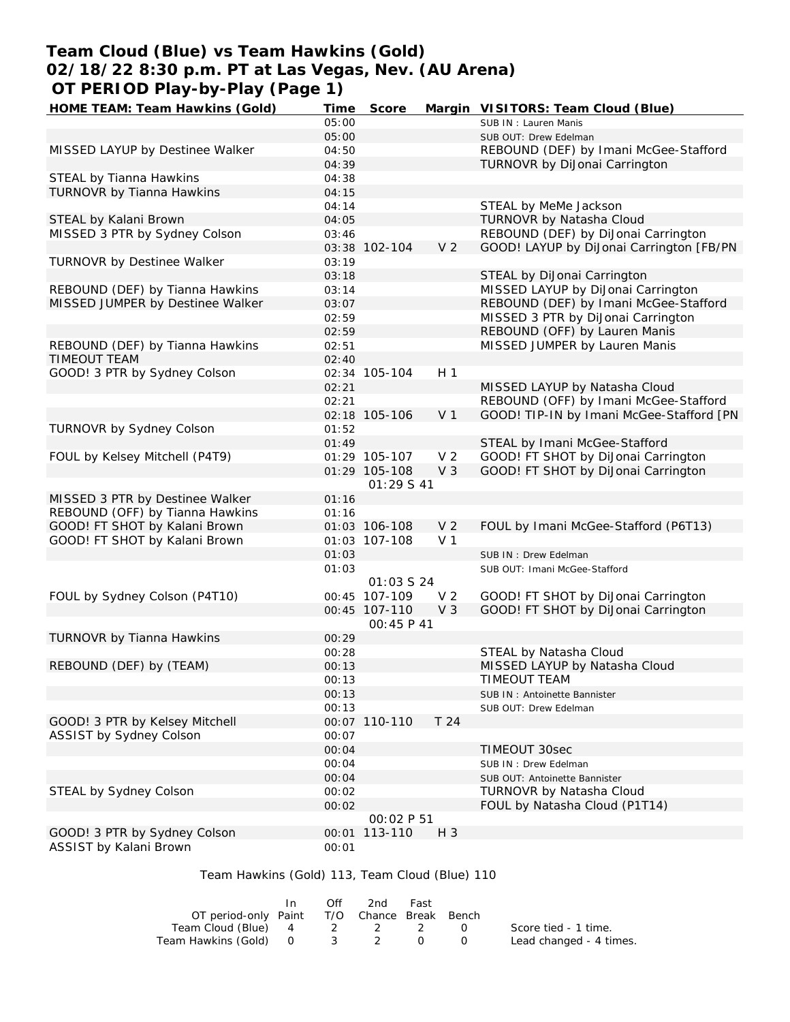# **Team Cloud (Blue) vs Team Hawkins (Gold) 02/18/22 8:30 p.m. PT at Las Vegas, Nev. (AU Arena) OT PERIOD Play-by-Play (Page 1)**

| HOME TEAM: Team Hawkins (Gold)                 | Time  | Score             |                | Margin VISITORS: Team Cloud (Blue)       |
|------------------------------------------------|-------|-------------------|----------------|------------------------------------------|
|                                                | 05:00 |                   |                | SUB IN: Lauren Manis                     |
|                                                | 05:00 |                   |                | SUB OUT: Drew Edelman                    |
| MISSED LAYUP by Destinee Walker                | 04:50 |                   |                | REBOUND (DEF) by Imani McGee-Stafford    |
|                                                | 04:39 |                   |                | TURNOVR by DiJonai Carrington            |
| STEAL by Tianna Hawkins                        | 04:38 |                   |                |                                          |
| TURNOVR by Tianna Hawkins                      | 04:15 |                   |                |                                          |
|                                                | 04:14 |                   |                | STEAL by MeMe Jackson                    |
| STEAL by Kalani Brown                          | 04:05 |                   |                | TURNOVR by Natasha Cloud                 |
| MISSED 3 PTR by Sydney Colson                  | 03:46 |                   |                | REBOUND (DEF) by DiJonai Carrington      |
|                                                |       | 03:38 102-104     | V <sub>2</sub> | GOOD! LAYUP by DiJonai Carrington [FB/PN |
| TURNOVR by Destinee Walker                     | 03:19 |                   |                |                                          |
|                                                | 03:18 |                   |                | STEAL by DiJonai Carrington              |
| REBOUND (DEF) by Tianna Hawkins                | 03:14 |                   |                | MISSED LAYUP by DiJonai Carrington       |
| MISSED JUMPER by Destinee Walker               | 03:07 |                   |                | REBOUND (DEF) by Imani McGee-Stafford    |
|                                                | 02:59 |                   |                | MISSED 3 PTR by DiJonai Carrington       |
|                                                | 02:59 |                   |                | REBOUND (OFF) by Lauren Manis            |
| REBOUND (DEF) by Tianna Hawkins                | 02:51 |                   |                | MISSED JUMPER by Lauren Manis            |
| TIMEOUT TEAM                                   | 02:40 |                   |                |                                          |
| GOOD! 3 PTR by Sydney Colson                   |       | 02:34 105-104     | H <sub>1</sub> |                                          |
|                                                | 02:21 |                   |                | MISSED LAYUP by Natasha Cloud            |
|                                                | 02:21 |                   |                | REBOUND (OFF) by Imani McGee-Stafford    |
|                                                |       | 02:18 105-106     | V <sub>1</sub> | GOOD! TIP-IN by Imani McGee-Stafford [PN |
| TURNOVR by Sydney Colson                       | 01:52 |                   |                |                                          |
|                                                | 01:49 |                   |                | STEAL by Imani McGee-Stafford            |
| FOUL by Kelsey Mitchell (P4T9)                 |       | 01:29 105-107     | V <sub>2</sub> | GOOD! FT SHOT by DiJonai Carrington      |
|                                                |       | 01:29 105-108     | V <sub>3</sub> | GOOD! FT SHOT by DiJonai Carrington      |
|                                                |       | 01:29 S 41        |                |                                          |
| MISSED 3 PTR by Destinee Walker                | 01:16 |                   |                |                                          |
| REBOUND (OFF) by Tianna Hawkins                | 01:16 |                   |                |                                          |
| GOOD! FT SHOT by Kalani Brown                  |       | 01:03 106-108     | V <sub>2</sub> | FOUL by Imani McGee-Stafford (P6T13)     |
| GOOD! FT SHOT by Kalani Brown                  |       | 01:03 107-108     | V <sub>1</sub> |                                          |
|                                                | 01:03 |                   |                | SUB IN : Drew Edelman                    |
|                                                | 01:03 |                   |                | SUB OUT: Imani McGee-Stafford            |
|                                                |       | 01:03 \$ 24       |                |                                          |
| FOUL by Sydney Colson (P4T10)                  |       | 00:45 107-109     | V <sub>2</sub> | GOOD! FT SHOT by DiJonai Carrington      |
|                                                |       | 00:45 107-110     | V <sub>3</sub> | GOOD! FT SHOT by DiJonai Carrington      |
|                                                |       | OO: 45 P 41       |                |                                          |
| TURNOVR by Tianna Hawkins                      | 00:29 |                   |                |                                          |
|                                                | 00:28 |                   |                | STEAL by Natasha Cloud                   |
| REBOUND (DEF) by (TEAM)                        | 00:13 |                   |                | MISSED LAYUP by Natasha Cloud            |
|                                                | 00:13 |                   |                | TIMEOUT TEAM                             |
|                                                | 00:13 |                   |                | SUB IN: Antoinette Bannister             |
|                                                | 00:13 |                   |                | SUB OUT: Drew Edelman                    |
| GOOD! 3 PTR by Kelsey Mitchell                 |       | 00:07 110-110     | T 24           |                                          |
| ASSIST by Sydney Colson                        | 00:07 |                   |                |                                          |
|                                                | 00:04 |                   |                | TIMEOUT 30sec                            |
|                                                | 00:04 |                   |                | SUB IN: Drew Edelman                     |
|                                                | 00:04 |                   |                | SUB OUT: Antoinette Bannister            |
| STEAL by Sydney Colson                         | 00:02 |                   |                | TURNOVR by Natasha Cloud                 |
|                                                | 00:02 |                   |                | FOUL by Natasha Cloud (P1T14)            |
|                                                |       | <i>00:02 P 51</i> |                |                                          |
| GOOD! 3 PTR by Sydney Colson                   |       | 00:01 113-110     | $H_3$          |                                          |
| ASSIST by Kalani Brown                         | 00:01 |                   |                |                                          |
|                                                |       |                   |                |                                          |
| Team Hawkins (Gold) 113, Team Cloud (Blue) 110 |       |                   |                |                                          |

#### In Off 2nd Fast<br>OT period-only Paint T/O Chance Break T/O Chance Break Bench Team Cloud (Blue) 4 2 2 2 0 Team Hawkins (Gold) 0 3 2 0 0 Score tied - 1 time. Lead changed - 4 times.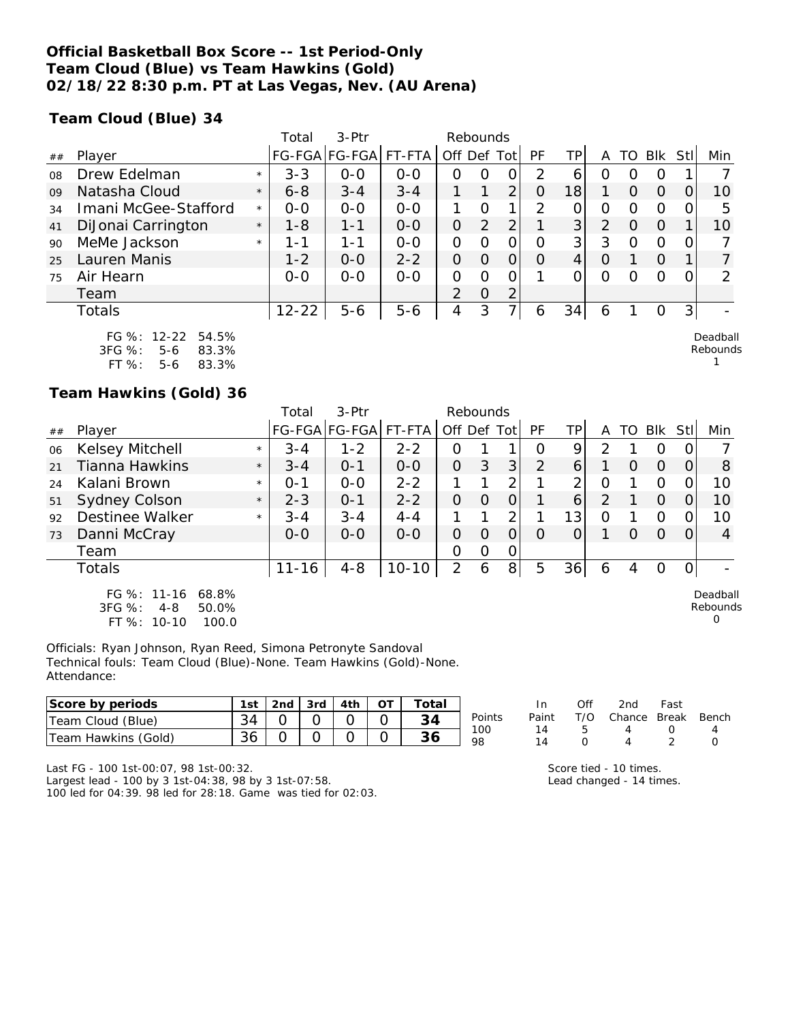## **Official Basketball Box Score -- 1st Period-Only Team Cloud (Blue) vs Team Hawkins (Gold) 02/18/22 8:30 p.m. PT at Las Vegas, Nev. (AU Arena)**

**Team Cloud (Blue) 34**

|    |                      |         | $3-Ptr$<br>Total<br>Rebounds |               |         |                |          |                |          |                |          |          |            |                |                 |
|----|----------------------|---------|------------------------------|---------------|---------|----------------|----------|----------------|----------|----------------|----------|----------|------------|----------------|-----------------|
| ## | Player               |         |                              | FG-FGA FG-FGA | FT-FTA  | Off Def        |          | Tot            | PF       | TPI            | Α        | TO       | <b>BIK</b> | Stl            | Min             |
| 08 | Drew Edelman         | $\star$ | $3 - 3$                      | $0 - 0$       | $0 - 0$ | $\Omega$       | $\Omega$ | $\mathbf{O}$   | 2        | 6              | O        | O        | O          |                |                 |
| 09 | Natasha Cloud        | $\star$ | $6 - 8$                      | $3 - 4$       | $3 - 4$ |                |          | 2              | $\Omega$ | 18             |          | $\Omega$ | $\Omega$   | $\Omega$       | 10              |
| 34 | Imani McGee-Stafford | $\star$ | $0 - 0$                      | $0 - 0$       | $0-0$   |                | $\Omega$ |                | 2        | $\overline{O}$ | 0        | ∩        | ∩          |                | 5               |
| 41 | DiJonai Carrington   | $\star$ | $1 - 8$                      | $1 - 1$       | $0 - 0$ | $\overline{O}$ | 2        | 2              |          | 3              | 2        | $\Omega$ | $\Omega$   |                | 10 <sup>°</sup> |
| 90 | MeMe Jackson         | $\star$ | 1-1                          | $1 - 1$       | $0 - 0$ | 0              | $\Omega$ | 0              | $\Omega$ | 3              | 3        | $\Omega$ | $\Omega$   |                |                 |
| 25 | Lauren Manis         |         | $1 - 2$                      | $0 - 0$       | $2 - 2$ | $\Omega$       | $\Omega$ | $\Omega$       | $\Omega$ | 4              | $\Omega$ |          | $\Omega$   |                |                 |
| 75 | Air Hearn            |         | $0 - 0$                      | $0 - 0$       | $0-0$   | 0              | $\Omega$ | 0              |          |                | $\Omega$ | O        | $\Omega$   | $\Omega$       | 2               |
|    | Team                 |         |                              |               |         | 2              | $\Omega$ | $\overline{2}$ |          |                |          |          |            |                |                 |
|    | Totals               |         | $12 - 22$                    | $5 - 6$       | $5 - 6$ | 4              | 3        |                | 6        | 34             | 6        |          | O          | 3 <sub>l</sub> |                 |
|    | FG %: 12-22 54.5%    |         |                              |               |         |                |          |                |          |                |          |          |            |                | Deadball        |

| .          | $L_{\ell}$ |       |
|------------|------------|-------|
| $3FG \%$ : | 5-6        | 83.3% |
| $FT \%$ :  | 5-6        | 83.3% |

## **Team Hawkins (Gold) 36**

|    |                                                                                |         | Total     | $3-Ptr$              |           | Rebounds       |   |                |          |                |                |    |          |     |                                  |
|----|--------------------------------------------------------------------------------|---------|-----------|----------------------|-----------|----------------|---|----------------|----------|----------------|----------------|----|----------|-----|----------------------------------|
| ## | Plaver                                                                         |         |           | FG-FGA FG-FGA FT-FTA |           | Off Def Tot    |   |                | PF       | TP             | A              | TO | Blk      | Stl | Min                              |
| 06 | Kelsey Mitchell                                                                | $\star$ | $3 - 4$   | $1 - 2$              | $2 - 2$   | Ω              |   |                | O        | 9              | 2              |    | $\Omega$ |     |                                  |
| 21 | <b>Tianna Hawkins</b>                                                          | $\star$ | $3 - 4$   | $0 - 1$              | $O-O$     | 0              | 3 | 3 <sup>1</sup> | 2        | 6              |                | 0  | $\Omega$ |     | 8                                |
| 24 | Kalani Brown                                                                   | $\star$ | $O - 1$   | $0 - 0$              | $2 - 2$   |                |   | 2              |          | 2 <sub>1</sub> | 0              |    | $\Omega$ |     | 10                               |
| 51 | Sydney Colson                                                                  | $\star$ | $2 - 3$   | $O - 1$              | $2 - 2$   | 0              | O | O              |          | 6              | $\overline{2}$ |    | $\Omega$ |     | 10                               |
| 92 | Destinee Walker                                                                | $\star$ | $3 - 4$   | $3 - 4$              | 4-4       |                |   | 2              |          | 13             | 0              |    | O        |     | 10                               |
| 73 | Danni McCray                                                                   |         | $0 - 0$   | $0 - 0$              | $0 - 0$   | 0              | 0 | $\Omega$       | $\Omega$ | 0              |                | O  | $\Omega$ |     | 4                                |
|    | Team                                                                           |         |           |                      |           | 0              | 0 | 0              |          |                |                |    |          |     |                                  |
|    | Totals                                                                         |         | $11 - 16$ | $4 - 8$              | $10 - 10$ | $\overline{2}$ | 6 | 8 <sup>1</sup> | 5        | 36             | 6              | 4  | $\Omega$ |     |                                  |
|    | FG $\%$ : 11-16<br>68.8%<br>3FG %:<br>$4 - 8$<br>50.0%<br>FT %: 10-10<br>100.0 |         |           |                      |           |                |   |                |          |                |                |    |          |     | Deadball<br>Rebounds<br>$\Omega$ |

Officials: Ryan Johnson, Ryan Reed, Simona Petronyte Sandoval Technical fouls: Team Cloud (Blue)-None. Team Hawkins (Gold)-None. Attendance:

| Score by periods        | 1st | ากล | 3rd | 4th | $\overline{\phantom{0}}$ | ⊺otai |           | In    |     | 2nd    | Fast         |       |
|-------------------------|-----|-----|-----|-----|--------------------------|-------|-----------|-------|-----|--------|--------------|-------|
| (Blue)<br>Cloud<br>Геаm | 34  |     |     |     | ∼                        | 34    | Points    | Paint | T/O | Chance | <b>Break</b> | Bench |
| Hawkins (Gold)<br>Team  | 36  |     |     |     |                          |       | 100<br>98 |       |     |        |              |       |

Last FG - 100 1st-00:07, 98 1st-00:32.

Largest lead - 100 by 3 1st-04:38, 98 by 3 1st-07:58. 100 led for 04:39. 98 led for 28:18. Game was tied for 02:03. Score tied - 10 times. Lead changed - 14 times. Rebounds 1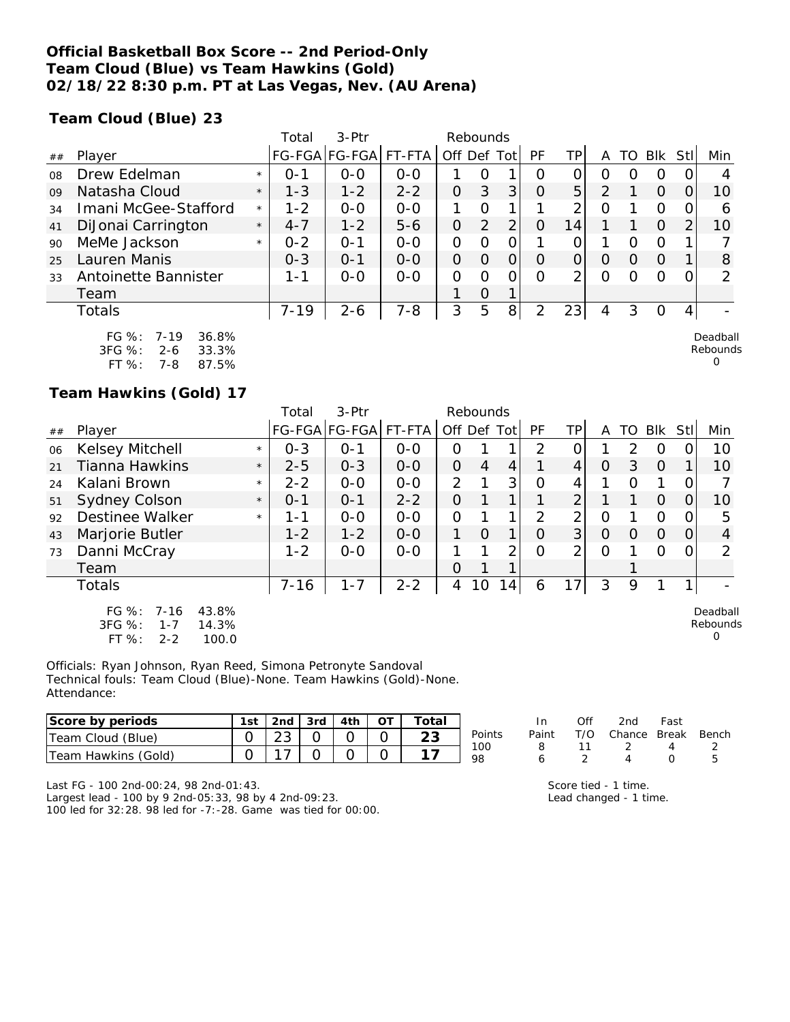## **Official Basketball Box Score -- 2nd Period-Only Team Cloud (Blue) vs Team Hawkins (Gold) 02/18/22 8:30 p.m. PT at Las Vegas, Nev. (AU Arena)**

**Team Cloud (Blue) 23**

|    |                                                            |         | Total    | $3-$ Ptr      |         | Rebounds    |               |                |          |                |               |     |          |     |                      |
|----|------------------------------------------------------------|---------|----------|---------------|---------|-------------|---------------|----------------|----------|----------------|---------------|-----|----------|-----|----------------------|
| ## | Player                                                     |         |          | FG-FGA FG-FGA | FT-FTA  | Off Def Tot |               |                | PF       | TP.            | A             | TO  | Blk      | Stl | Min                  |
| 08 | Drew Edelman                                               | $\star$ | $O - 1$  | $0 - 0$       | $O - O$ |             | Ω             |                | Ω        | 0              | Ω             | ( ) | 0        |     | 4                    |
| 09 | Natasha Cloud                                              | $\star$ | $1 - 3$  | $1 - 2$       | $2 - 2$ | 0           | 3             | 3              | $\Omega$ | 5 <sup>1</sup> | $\mathcal{P}$ |     | $\Omega$ |     | 10                   |
| 34 | Imani McGee-Stafford                                       | $\star$ | $1 - 2$  | $0 - 0$       | $O-O$   |             | Ω             |                |          | ⌒              | Ω             |     | O        |     | 6                    |
| 41 | DiJonai Carrington                                         | $\star$ | $4 - 7$  | $1 - 2$       | $5 - 6$ | 0           | $\mathcal{P}$ | ∍              | 0        | 14             |               |     | $\Omega$ | ⌒   | 10                   |
| 90 | MeMe Jackson                                               | $\star$ | $0 - 2$  | $O - 1$       | $O-O$   | 0           | Ω             |                |          | 0              |               | Ω   | 0        |     |                      |
| 25 | Lauren Manis                                               |         | $0 - 3$  | $O - 1$       | $0-0$   | 0           | O             | 0              | O        | 0              | O             | 0   | $\Omega$ |     | 8                    |
| 33 | Antoinette Bannister                                       |         | 1 - 1    | $0 - 0$       | $O - O$ | 0           | ი             |                | ∩        | ⌒              | O             | Ω   | $\circ$  |     | $\mathcal{P}$        |
|    | Team                                                       |         |          |               |         |             | Ο             | 1              |          |                |               |     |          |     |                      |
|    | Totals                                                     |         | $7 - 19$ | $2 - 6$       | $7 - 8$ | 3           | 5             | 8 <sup>1</sup> | っ        | 23             | 4             | 3   | O        | 4   |                      |
|    | FG %:<br>36.8%<br>$7 - 19$<br>$3FG \%$<br>33.3%<br>$2 - 6$ |         |          |               |         |             |               |                |          |                |               |     |          |     | Deadball<br>Rebounds |

|            |     | .     |
|------------|-----|-------|
| $3FG \%$ : | 2-6 | 33.3% |
| FT $\%$ :  | 7-8 | 87.5% |

## **Team Hawkins (Gold) 17**

|    |                                                                                           |         | Total    | 3-Ptr         |         |               | Rebounds       |                |           |                |                |          |          |          |                           |
|----|-------------------------------------------------------------------------------------------|---------|----------|---------------|---------|---------------|----------------|----------------|-----------|----------------|----------------|----------|----------|----------|---------------------------|
| ## | Player                                                                                    |         |          | FG-FGA FG-FGA | FT-FTA  | Off Def Tot   |                |                | <b>PF</b> | ТP             | A              | TO       | Blk      | Stll     | Min                       |
| 06 | Kelsey Mitchell                                                                           | $\star$ | $0 - 3$  | $O - 1$       | $0 - 0$ | O             |                |                | 2         |                |                | 2        | O        |          | 10                        |
| 21 | <b>Tianna Hawkins</b>                                                                     | $\star$ | $2 - 5$  | $0 - 3$       | $0 - 0$ | $\mathcal{O}$ | $\overline{4}$ | $\overline{4}$ |           | 4              | $\overline{O}$ | 3        | $\Omega$ |          | 10                        |
| 24 | Kalani Brown                                                                              | $\star$ | $2 - 2$  | $0 - 0$       | $0 - 0$ | 2             |                | 3 <sub>l</sub> | Ω         | 4              |                | Ω        |          | 0        |                           |
| 51 | <b>Sydney Colson</b>                                                                      | $\star$ | $0 - 1$  | $0 - 1$       | $2 - 2$ | O             |                | 1              |           | $\overline{2}$ |                |          | $\Omega$ | O        | 10                        |
| 92 | <b>Destinee Walker</b>                                                                    | $\star$ | 1-1      | $0-0$         | $0 - 0$ | 0             |                | 1              | 2         | 2              | 0              |          | 0        | 0        | 5                         |
| 43 | Marjorie Butler                                                                           |         | $1 - 2$  | $1 - 2$       | $0 - 0$ | 1             | $\Omega$       | 1              | O         | 3 <sup>1</sup> | $\Omega$       | $\Omega$ | $\Omega$ | $\Omega$ | 4                         |
| 73 | Danni McCray                                                                              |         | $1 - 2$  | $0-0$         | $0-0$   |               |                | 2              | 0         | $\overline{2}$ | 0              |          | Ω        | Ω        | ∍                         |
|    | Team                                                                                      |         |          |               |         | O             |                | 1              |           |                |                |          |          |          |                           |
|    | <b>Totals</b>                                                                             |         | $7 - 16$ | $1 - 7$       | $2 - 2$ | 4             | 10             | 141            | 6         | 7<br>1         | 3              | 9        |          |          |                           |
|    | $7 - 16$<br>43.8%<br>FG $\%$ :<br>3FG %:<br>$1 - 7$<br>14.3%<br>FT %:<br>100.0<br>$2 - 2$ |         |          |               |         |               |                |                |           |                |                |          |          |          | Deadball<br>Rebounds<br>0 |

Officials: Ryan Johnson, Ryan Reed, Simona Petronyte Sandoval Technical fouls: Team Cloud (Blue)-None. Team Hawkins (Gold)-None. Attendance:

| Score by periods    | $12nd$ $3rd$ $14th$ $14$ |  | OT | Total |               |
|---------------------|--------------------------|--|----|-------|---------------|
| Team Cloud (Blue)   | 23                       |  |    | 23    | <b>Points</b> |
| Team Hawkins (Gold) |                          |  |    |       | 100           |

|        | In.   | Off | 2nd                    | Fast |    |
|--------|-------|-----|------------------------|------|----|
| Points | Paint |     | T/O Chance Break Bench |      |    |
| 100    | 8     | 11  | $\overline{2}$         |      |    |
| 98     |       |     |                        |      | Б. |

0

Last FG - 100 2nd-00:24, 98 2nd-01:43.

Largest lead - 100 by 9 2nd-05:33, 98 by 4 2nd-09:23. 100 led for 32:28. 98 led for -7:-28. Game was tied for 00:00. Score tied - 1 time. Lead changed - 1 time.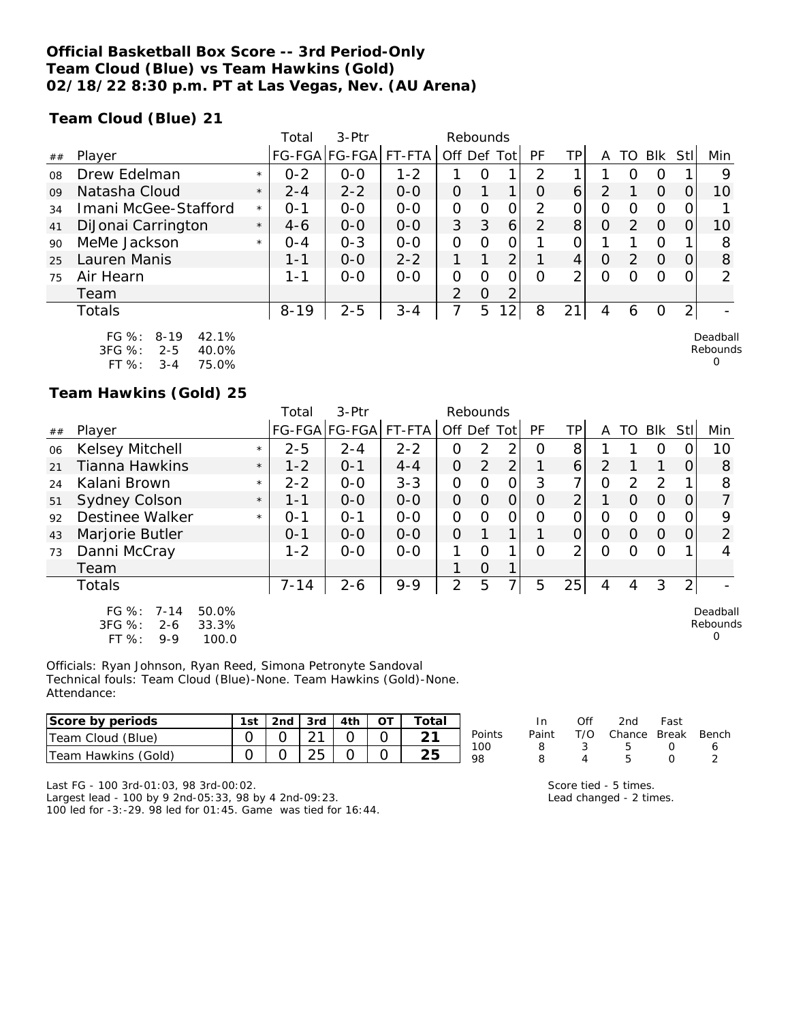## **Official Basketball Box Score -- 3rd Period-Only Team Cloud (Blue) vs Team Hawkins (Gold) 02/18/22 8:30 p.m. PT at Las Vegas, Nev. (AU Arena)**

**Team Cloud (Blue) 21**

|    |                                                |         | Total    | 3-Ptr         |         | Rebounds       |          |                 |                |     |   |               |            |                |         |
|----|------------------------------------------------|---------|----------|---------------|---------|----------------|----------|-----------------|----------------|-----|---|---------------|------------|----------------|---------|
| ## | Player                                         |         |          | FG-FGA FG-FGA | FT-FTA  | Off            | Def      | Tot             | РF             | TPı | Α | го            | <b>BIK</b> | Stll           | Min     |
| 08 | Drew Edelman                                   | $\star$ | $0 - 2$  | $0 - 0$       | $1 - 2$ |                | Ω        |                 | 2              |     |   |               | O          |                | 9       |
| 09 | Natasha Cloud                                  | $\star$ | $2 - 4$  | $2 - 2$       | $0 - 0$ | 0              |          | 1               | 0              | 6   |   |               | O          |                | 10      |
| 34 | Imani McGee-Stafford                           | $\star$ | $0 - 1$  | $0 - 0$       | $0 - 0$ | 0              | Ο        | 0               | 2              | 0   | 0 | O             | Ω          |                |         |
| 41 | DiJonai Carrington                             | $\star$ | $4 - 6$  | $0 - 0$       | $0 - 0$ | 3              | 3        | 6               | $\overline{2}$ | 8   | 0 | $\mathcal{P}$ | $\Omega$   | O              | 10      |
| 90 | MeMe Jackson                                   | $\star$ | $O - 4$  | $O - 3$       | $0 - 0$ | O              | O        | 0               |                | 0   |   |               | Ω          |                | 8       |
| 25 | Lauren Manis                                   |         | $1 - 1$  | $0 - 0$       | $2 - 2$ |                |          | 2               |                | 4   | O | $\mathcal{P}$ | $\Omega$   | O              | 8       |
| 75 | Air Hearn                                      |         | $1 - 1$  | $0 - 0$       | $0-0$   | 0              | Ω        | 0               | $\Omega$       | ⌒   | ი | Ω             | Ω          |                | 2       |
|    | Team                                           |         |          |               |         | $\overline{2}$ | $\Omega$ | ◠               |                |     |   |               |            |                |         |
|    | Totals                                         |         | $8 - 19$ | $2 - 5$       | $3 - 4$ | 7              | 5        | 12 <sub>1</sub> | 8              | 21  | 4 | 6             | 0          | $\overline{2}$ |         |
|    | $\Gamma \cap O \subset \cdot$<br>0.10<br>12.10 |         |          |               |         |                |          |                 |                |     |   |               |            |                | Doodhol |

| FG 70.     | 8-19    | $42.1\%$ |
|------------|---------|----------|
| $3FG \%$ : | $2 - 5$ | 40.0%    |
| FT %:      | $3 - 4$ | 75.0%    |

## **Team Hawkins (Gold) 25**

|    |                                                                                       |         | Total    | 3-Ptr         |         | Rebounds       |                |                |           |                |          |               |               |                |                           |
|----|---------------------------------------------------------------------------------------|---------|----------|---------------|---------|----------------|----------------|----------------|-----------|----------------|----------|---------------|---------------|----------------|---------------------------|
| ## | Player                                                                                |         |          | FG-FGA FG-FGA | FT-FTA  | Off Def Tot    |                |                | <b>PF</b> | ΤP             | A        | TO            | <b>Blk</b>    | Stll           | Min                       |
| 06 | Kelsey Mitchell                                                                       | $\star$ | $2 - 5$  | $2 - 4$       | $2 - 2$ | 0              | 2              | $\overline{2}$ | 0         | 8              |          |               | 0             |                | 10                        |
| 21 | <b>Tianna Hawkins</b>                                                                 | $\star$ | $1 - 2$  | $O - 1$       | $4 - 4$ | $\overline{O}$ | $\overline{2}$ | 2 <sub>1</sub> |           | 6              | 2        |               |               | 0              | 8                         |
| 24 | Kalani Brown                                                                          | $\star$ | $2 - 2$  | $0 - 0$       | $3 - 3$ | O              | $\Omega$       | $\overline{O}$ | 3         | 7              | $\Omega$ | $\mathcal{P}$ | $\mathcal{P}$ |                | 8                         |
| 51 | <b>Sydney Colson</b>                                                                  | $\star$ | 1-1      | $0 - 0$       | $0 - 0$ | 0              | 0              | $\overline{0}$ | O         | $\overline{2}$ |          | O             | $\Omega$      | 0              | 7                         |
| 92 | <b>Destinee Walker</b>                                                                | $\star$ | 0-1      | $O - 1$       | $0-0$   | $\overline{O}$ | 0              | $\mathcal{O}$  | Ω         | 0              | 0        | Ω             | O             | Ω              | 9                         |
| 43 | Marjorie Butler                                                                       |         | $0 - 1$  | $0 - 0$       | $0 - 0$ | $\overline{O}$ |                | 1              |           | 0              | $\Omega$ | $\Omega$      | $\Omega$      | $\Omega$       | 2                         |
| 73 | Danni McCray                                                                          |         | $1 - 2$  | $0-0$         | $0-0$   |                | $\Omega$       | 1              | O         | 2 <sub>1</sub> | O        | Ω             | O             |                |                           |
|    | Team                                                                                  |         |          |               |         |                | 0              | 1              |           |                |          |               |               |                |                           |
|    | <b>Totals</b>                                                                         |         | $7 - 14$ | $2 - 6$       | $9 - 9$ | 2              | 5              | 7              | 5         | 25             | 4        | 4             | 3             | 2 <sub>1</sub> |                           |
|    | $FG \%$ :<br>50.0%<br>$7 - 14$<br>3FG %:<br>2-6<br>33.3%<br>FT %:<br>100.0<br>$9 - 9$ |         |          |               |         |                |                |                |           |                |          |               |               |                | Deadball<br>Rebounds<br>0 |

Officials: Ryan Johnson, Ryan Reed, Simona Petronyte Sandoval Technical fouls: Team Cloud (Blue)-None. Team Hawkins (Gold)-None. Attendance:

| Score by periods    | 1st |  | 2nd $\sqrt{3}$ 3rd $\sqrt{4}$ 4th | $\tau$ otar |        |
|---------------------|-----|--|-----------------------------------|-------------|--------|
| Team Cloud (Blue)   |     |  |                                   |             | Points |
| Team Hawkins (Gold) |     |  |                                   | つに          | 100    |

|        | In.   | Off | 2nd                    | Fast             |   |
|--------|-------|-----|------------------------|------------------|---|
| Points | Paint |     | T/O Chance Break Bench |                  |   |
| 100    | 8     | -3. | $\overline{b}$         | $\left( \right)$ | 6 |
| 98     | Ω     |     | Ҕ                      | $\left( \right)$ |   |

Last FG - 100 3rd-01:03, 98 3rd-00:02.

Largest lead - 100 by 9 2nd-05:33, 98 by 4 2nd-09:23. 100 led for -3:-29. 98 led for 01:45. Game was tied for 16:44. Score tied - 5 times. Lead changed - 2 times.

Deadball Rebounds

0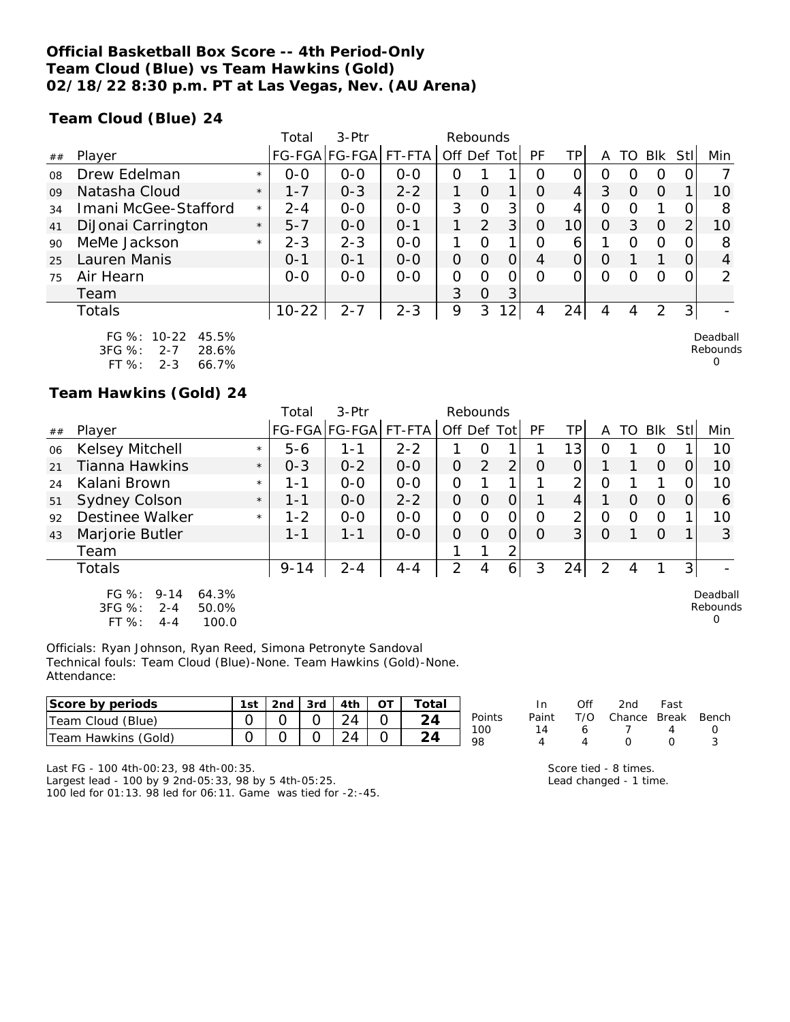## **Official Basketball Box Score -- 4th Period-Only Team Cloud (Blue) vs Team Hawkins (Gold) 02/18/22 8:30 p.m. PT at Las Vegas, Nev. (AU Arena)**

**Team Cloud (Blue) 24**

|    |                      |         | Total     | $3-Ptr$       |         | Rebounds    |          |                |          |                 |          |                  |            |                |                 |
|----|----------------------|---------|-----------|---------------|---------|-------------|----------|----------------|----------|-----------------|----------|------------------|------------|----------------|-----------------|
| ## | Player               |         |           | FG-FGA FG-FGA | FT-FTA  | Off Def Tot |          |                | PF       | TPI             | Α        | TO               | <b>BIK</b> | Stl            | Min             |
| 08 | Drew Edelman         | $\star$ | $0 - 0$   | $0 - 0$       | $0 - 0$ | $\Omega$    |          |                | Ω        | 0               | Ω        | $\left( \right)$ | 0          |                |                 |
| 09 | Natasha Cloud        | $\star$ | $1 - 7$   | $0 - 3$       | $2 - 2$ |             | $\Omega$ |                | $\Omega$ | $\vert 4 \vert$ | 3        | $\Omega$         | $\Omega$   |                | 10              |
| 34 | Imani McGee-Stafford | $\star$ | $2 - 4$   | $0-0$         | $0 - 0$ | 3           | $\Omega$ | 3              | $\Omega$ | 4               | 0        | $\Omega$         |            |                | 8               |
| 41 | DiJonai Carrington   | $\star$ | $5 - 7$   | $0 - 0$       | $O - 1$ |             | 2        | 3 <sup>1</sup> | $\Omega$ | 10 <sub>l</sub> | $\Omega$ | 3                | $\Omega$   | 2              | 10 <sup>°</sup> |
| 90 | MeMe Jackson         | $\star$ | $2 - 3$   | $2 - 3$       | $0 - 0$ |             | $\Omega$ |                | $\Omega$ | 6               |          | $\Omega$         | $\Omega$   |                | 8               |
| 25 | Lauren Manis         |         | $0 - 1$   | $O - 1$       | $0 - 0$ | $\Omega$    | $\Omega$ | $\Omega$       | 4        | $\overline{O}$  | $\Omega$ |                  |            |                | $\overline{4}$  |
| 75 | Air Hearn            |         | $0 - 0$   | $0-0$         | $0-0$   | 0           | $\Omega$ | 0              | $\Omega$ |                 | $\Omega$ | O                | $\Omega$   | $\Omega$       | $\overline{2}$  |
|    | Team                 |         |           |               |         | 3           | $\Omega$ | 3              |          |                 |          |                  |            |                |                 |
|    | Totals               |         | $10 - 22$ | $2 - 7$       | $2 - 3$ | 9           | 3        | 12             | 4        | 24              | 4        | 4                | 2          | 3 <sub>l</sub> |                 |
|    | FG %: 10-22 45.5%    |         |           |               |         |             |          |                |          |                 |          |                  |            |                | Deadball        |

| .         | .   | .     |
|-----------|-----|-------|
| $3FG \%$  | 2-7 | 28.6% |
| FT $\%$ : | 2-3 | 66.7% |

## **Team Hawkins (Gold) 24**

|    |                                                                                           |         | Total    | $3-Ptr$              |         | Rebounds       |          |                |          |                |                |    |          |     |                           |
|----|-------------------------------------------------------------------------------------------|---------|----------|----------------------|---------|----------------|----------|----------------|----------|----------------|----------------|----|----------|-----|---------------------------|
| ## | Plaver                                                                                    |         |          | FG-FGA FG-FGA FT-FTA |         | Off            |          | Def Tot        | PF       | ΤP             | A              | TO | Blk      | Stl | Min                       |
| 06 | Kelsey Mitchell                                                                           | $\star$ | $5 - 6$  | 1-1                  | $2 - 2$ |                | O        |                |          | 13             | Ο              |    | $\left($ |     | 10                        |
| 21 | Tianna Hawkins                                                                            | $\star$ | $0 - 3$  | $0 - 2$              | $O-O$   | 0              | 2        | 2              | $\Omega$ | 0              |                |    | $\Omega$ |     | 10                        |
| 24 | Kalani Brown                                                                              | $\star$ | 1-1      | $0 - 0$              | $0 - 0$ | 0              |          | 1              |          | $\overline{2}$ | O              |    |          |     | 10                        |
| 51 | Sydney Colson                                                                             | $\star$ | 1-1      | $0 - 0$              | $2 - 2$ | 0              | Ο        | $\Omega$       |          | 4              |                | O  | $\Omega$ |     | 6                         |
| 92 | Destinee Walker                                                                           | $\star$ | $1 - 2$  | $0 - 0$              | $0-0$   | 0              | Ο        | 0              | Ο        | $\overline{2}$ | $\overline{O}$ | 0  | 0        |     | 10                        |
| 43 | Marjorie Butler                                                                           |         | 1-1      | 1-1                  | $0-0$   | 0              | $\Omega$ | $\overline{O}$ | 0        | 3              | $\overline{O}$ |    | $\Omega$ |     | 3                         |
|    | Team                                                                                      |         |          |                      |         |                | 1        | 2              |          |                |                |    |          |     |                           |
|    | Totals                                                                                    |         | $9 - 14$ | $2 - 4$              | $4 - 4$ | $\overline{2}$ | 4        | 6              | 3        | 24             | 2              | 4  |          | 3   |                           |
|    | $FG \%$ :<br>$9 - 14$<br>64.3%<br>3FG %:<br>$2 - 4$<br>50.0%<br>FT %:<br>100.0<br>$4 - 4$ |         |          |                      |         |                |          |                |          |                |                |    |          |     | Deadball<br>Rebounds<br>0 |

Officials: Ryan Johnson, Ryan Reed, Simona Petronyte Sandoval Technical fouls: Team Cloud (Blue)-None. Team Hawkins (Gold)-None. Attendance:

| Score by periods       | 1st | 2nd | 3rd | 4th      | ОT | Total  |           |       | Off | 2 <sub>nd</sub> | Fast  |     |
|------------------------|-----|-----|-----|----------|----|--------|-----------|-------|-----|-----------------|-------|-----|
| Cloud (Blue)<br>. eam  |     |     |     | 24       |    | $\sim$ | Points    | Paint | T/O | Chance          | Break | Ben |
| Hawkins (Gold)<br>eam? |     |     |     | $\Omega$ |    | $\sim$ | 100<br>98 |       |     |                 |       | ັ   |

Last FG - 100 4th-00:23, 98 4th-00:35.

Largest lead - 100 by 9 2nd-05:33, 98 by 5 4th-05:25. 100 led for 01:13. 98 led for 06:11. Game was tied for -2:-45. Score tied - 8 times. Lead changed - 1 time.

In Off 2nd Fast Paint T/O Chance Break Bench

Rebounds 0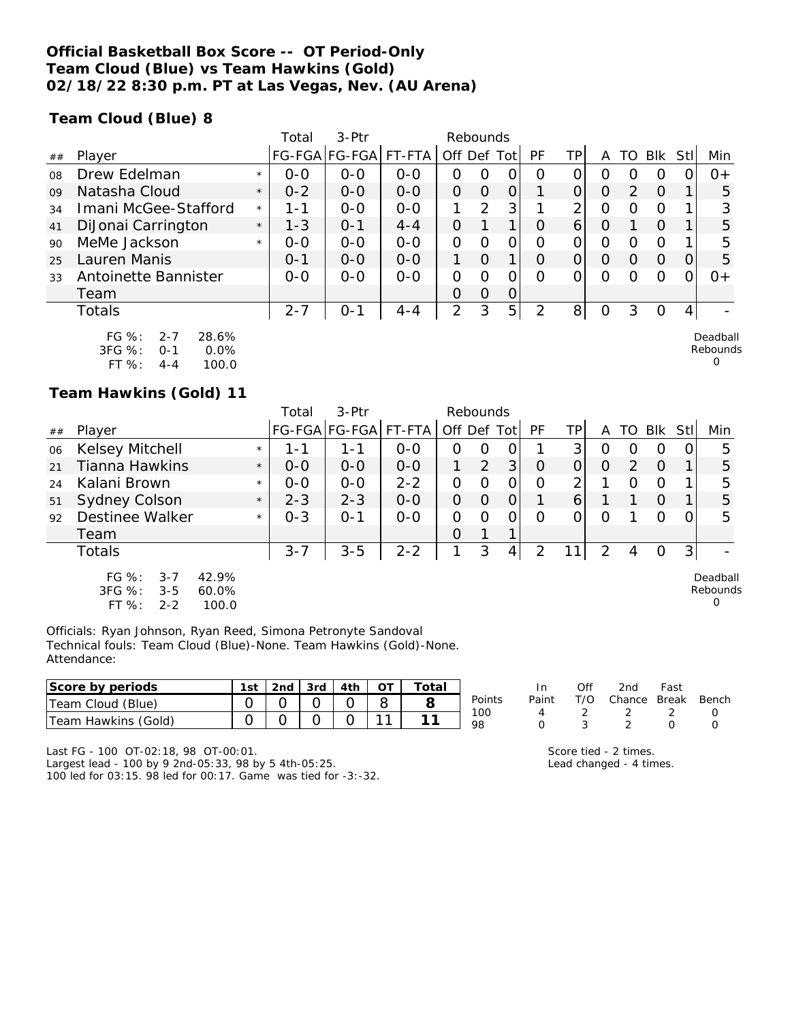## **Official Basketball Box Score -- OT Period-Only Team Cloud (Blue) vs Team Hawkins (Gold) 02/18/22 8:30 p.m. PT at Las Vegas, Nev. (AU Arena)**

**Team Cloud (Blue) 8**

|    |                                                                                           |         | Total   | $3-$ Ptr      |         |                | Rebounds |                |          |                 |          |                  |          |          |                      |
|----|-------------------------------------------------------------------------------------------|---------|---------|---------------|---------|----------------|----------|----------------|----------|-----------------|----------|------------------|----------|----------|----------------------|
| ## | Player                                                                                    |         |         | FG-FGA FG-FGA | FT-FTA  | Off Def Tot    |          |                | PF       | TPI             | A        | TO.              | Blk Stl  |          | Min                  |
| 08 | Drew Edelman                                                                              | $\star$ | $0 - 0$ | $0 - 0$       | $0 - 0$ | 0              | 0        | 0              | O        | 0               | Ο        | O                | O        |          | $O +$                |
| 09 | Natasha Cloud                                                                             | $\star$ | $0 - 2$ | $0 - 0$       | $0 - 0$ | 0              | $\Omega$ | 0              |          | 0               | $\circ$  | 2                | $\Omega$ |          | 5                    |
| 34 | Imani McGee-Stafford                                                                      | $\star$ | 1 - 1   | $0 - 0$       | $0 - 0$ | 1              | 2        | 3              |          | 2               | O        | $\left( \right)$ | $\Omega$ |          | 3                    |
| 41 | DiJonai Carrington                                                                        | $\star$ | $1 - 3$ | $O - 1$       | $4 - 4$ | O              |          |                | $\Omega$ | $\vert 6 \vert$ | O        |                  | $\Omega$ |          | 5                    |
| 90 | MeMe Jackson                                                                              | $\star$ | $0 - 0$ | $0 - 0$       | $0 - 0$ | 0              | $\Omega$ | 0              | Ω        | $\Omega$        | O        | Ω                | $\circ$  |          | 5                    |
| 25 | Lauren Manis                                                                              |         | $O - 1$ | $0 - 0$       | $0 - 0$ | 1              | $\Omega$ |                | $\Omega$ | 0               | $\Omega$ | $\Omega$         | $\Omega$ | $\Omega$ | 5                    |
| 33 | Antoinette Bannister                                                                      |         | $0 - 0$ | $0 - 0$       | $0-0$   | $\overline{O}$ | O        | 0              | $\Omega$ | 0               | O        | Ω                | $\Omega$ |          | $0+$                 |
|    | Team                                                                                      |         |         |               |         | Ο              | $\Omega$ | $\overline{O}$ |          |                 |          |                  |          |          |                      |
|    | Totals                                                                                    |         | $2 - 7$ | $0 - 1$       | $4 - 4$ | $\overline{2}$ | 3        | 5              | っ        | 8 <sup>1</sup>  | $\Omega$ | 3                | O        | 4        |                      |
|    | $FG \%$ :<br>28.6%<br>$2 - 7$<br>3FG %:<br>0.0%<br>$O - 1$<br>$FT$ %:<br>100.0<br>$4 - 4$ |         |         |               |         |                |          |                |          |                 |          |                  |          |          | Deadball<br>Rebounds |

### **Team Hawkins (Gold) 11**

|    |                                                                                          |         | Total   | 3-Ptr         |         | Rebounds |   |             |          |    |          |                |          |     |                           |
|----|------------------------------------------------------------------------------------------|---------|---------|---------------|---------|----------|---|-------------|----------|----|----------|----------------|----------|-----|---------------------------|
| ## | Player                                                                                   |         |         | FG-FGA FG-FGA | FT-FTA  | Off Def  |   | <b>Totl</b> | PF       | ТP | A        | TO             | Blk      | Stl | Min                       |
| 06 | Kelsey Mitchell                                                                          | $\star$ | 1 - 1   | 1 - 1         | $0 - 0$ | 0        | O |             |          | 3  | Ο        | 0              | O        |     | 5                         |
| 21 | Tianna Hawkins                                                                           | $\star$ | $0 - 0$ | $0 - 0$       | $0 - 0$ |          | 2 | 3           | $\Omega$ | 0  | $\Omega$ | $\overline{2}$ | $\Omega$ |     | 5                         |
| 24 | Kalani Brown                                                                             | $\star$ | $0 - 0$ | $0 - 0$       | $2 - 2$ | 0        | Ο | 0           | 0        | 2  |          | Ω              | O        |     | 5                         |
| 51 | <b>Sydney Colson</b>                                                                     | $\star$ | $2 - 3$ | $2 - 3$       | $0 - 0$ | O        | O | 0           |          | 6  |          |                | $\Omega$ |     | 5                         |
| 92 | Destinee Walker                                                                          | $\star$ | $0 - 3$ | $0 - 1$       | $0 - 0$ | 0        | Ω | O           | Ω        | 0  | Ω        |                | O        |     | 5                         |
|    | Team                                                                                     |         |         |               |         | 0        | 1 | 1           |          |    |          |                |          |     |                           |
|    | Totals                                                                                   |         | $3 - 7$ | $3 - 5$       | $2 - 2$ |          | 3 | 4           | 2        |    | 2        | 4              | 0        |     |                           |
|    | $FG \%$ :<br>$3 - 7$<br>42.9%<br>3FG %:<br>$3 - 5$<br>60.0%<br>FT %:<br>$2 - 2$<br>100.0 |         |         |               |         |          |   |             |          |    |          |                |          |     | Deadball<br>Rebounds<br>0 |

Officials: Ryan Johnson, Ryan Reed, Simona Petronyte Sandoval Technical fouls: Team Cloud (Blue)-None. Team Hawkins (Gold)-None. Attendance:

| Score by periods     | 1st. | 2nd | 3rd | 4th |        | Total |           | In    | 2nd    | Fast         |       |
|----------------------|------|-----|-----|-----|--------|-------|-----------|-------|--------|--------------|-------|
| Cloud (Blue)<br>Team |      |     |     |     |        |       | Points    | Paint | Chance | <b>Break</b> | Bench |
| Team Hawkins (Gold)  |      |     |     |     | $\sim$ |       | 100<br>98 |       |        | -            |       |

Last FG - 100 OT-02:18, 98 OT-00:01. Largest lead - 100 by 9 2nd-05:33, 98 by 5 4th-05:25. 100 led for 03:15. 98 led for 00:17. Game was tied for -3:-32.

| 98 |                       |  | ∩ |
|----|-----------------------|--|---|
|    | Score tied - 2 times. |  |   |

Lead changed - 4 times.